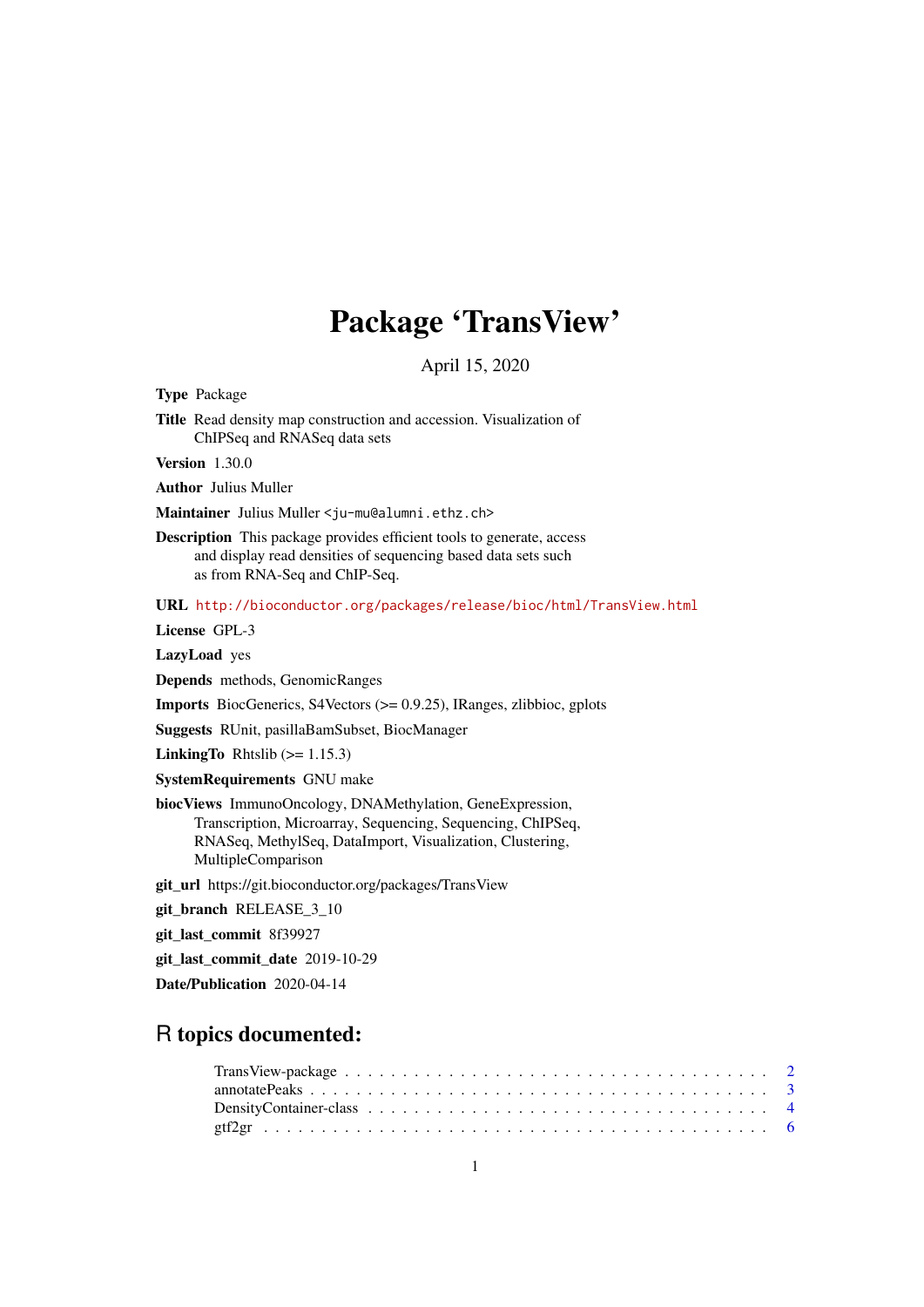# Package 'TransView'

April 15, 2020

<span id="page-0-0"></span>Type Package

Title Read density map construction and accession. Visualization of ChIPSeq and RNASeq data sets

Version 1.30.0

Author Julius Muller

Maintainer Julius Muller <ju-mu@alumni.ethz.ch>

Description This package provides efficient tools to generate, access and display read densities of sequencing based data sets such as from RNA-Seq and ChIP-Seq.

URL <http://bioconductor.org/packages/release/bioc/html/TransView.html>

License GPL-3

LazyLoad yes

Depends methods, GenomicRanges

Imports BiocGenerics, S4Vectors (>= 0.9.25), IRanges, zlibbioc, gplots

Suggests RUnit, pasillaBamSubset, BiocManager

**LinkingTo** Rhtslib  $(>= 1.15.3)$ 

SystemRequirements GNU make

biocViews ImmunoOncology, DNAMethylation, GeneExpression, Transcription, Microarray, Sequencing, Sequencing, ChIPSeq, RNASeq, MethylSeq, DataImport, Visualization, Clustering, MultipleComparison

git\_url https://git.bioconductor.org/packages/TransView

git\_branch RELEASE\_3\_10

git\_last\_commit 8f39927

git\_last\_commit\_date 2019-10-29

Date/Publication 2020-04-14

# R topics documented: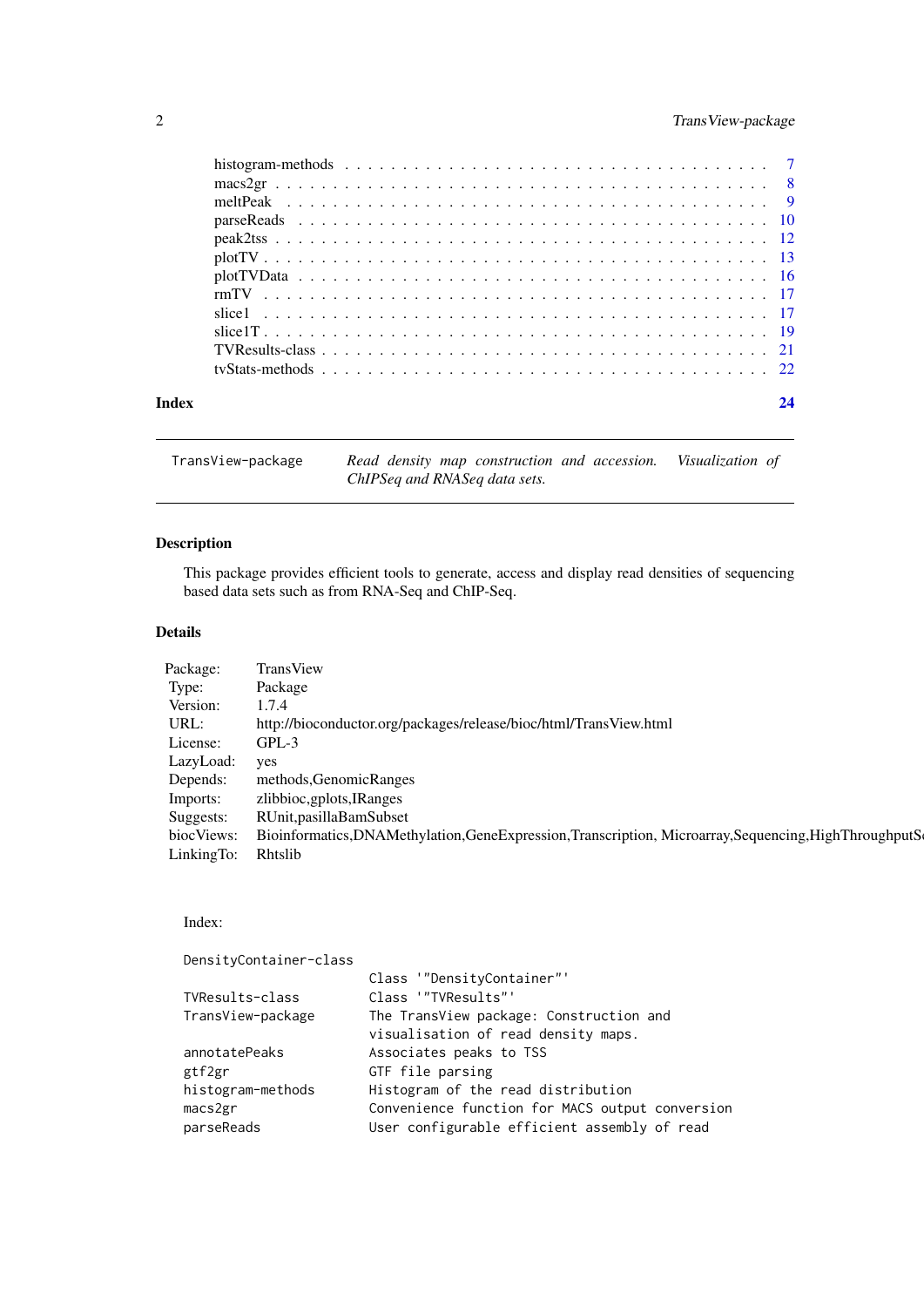# <span id="page-1-0"></span>2 TransView-package

|       | tyStats-methods $\ldots$ $\ldots$ $\ldots$ $\ldots$ $\ldots$ $\ldots$ $\ldots$ $\ldots$ $\ldots$ $\ldots$ $\ldots$ $\ldots$ $\ldots$ $\ldots$ $\ldots$ $\ldots$ $\ldots$ $\ldots$ $\ldots$ $\ldots$ $\ldots$ |    |
|-------|--------------------------------------------------------------------------------------------------------------------------------------------------------------------------------------------------------------|----|
| Index |                                                                                                                                                                                                              | 24 |

| TransView-package | Read density map construction and accession. Visualization of |  |
|-------------------|---------------------------------------------------------------|--|
|                   | ChIPSeq and RNASeq data sets.                                 |  |

# Description

This package provides efficient tools to generate, access and display read densities of sequencing based data sets such as from RNA-Seq and ChIP-Seq.

# Details

| Package:   | TransView                                                                                              |
|------------|--------------------------------------------------------------------------------------------------------|
| Type:      | Package                                                                                                |
| Version:   | 1.7.4                                                                                                  |
| URL:       | http://bioconductor.org/packages/release/bioc/html/TransView.html                                      |
| License:   | GPL-3                                                                                                  |
| LazyLoad:  | yes                                                                                                    |
| Depends:   | methods, Genomic Ranges                                                                                |
| Imports:   | zlibbioc, gplots, IRanges                                                                              |
| Suggests:  | RUnit, pasilla Bam Subset                                                                              |
| biocViews: | Bioinformatics, DNAMethylation, GeneExpression, Transcription, Microarray, Sequencing, HighThroughputS |
| LinkingTo: | Rhtslib                                                                                                |

# Index:

| DensityContainer-class |                                                 |
|------------------------|-------------------------------------------------|
|                        | Class '"DensityContainer"'                      |
| TVResults-class        | Class '"TVResults"'                             |
| TransView-package      | The TransView package: Construction and         |
|                        | visualisation of read density maps.             |
| annotatePeaks          | Associates peaks to TSS                         |
| gtf2gr                 | GTF file parsing                                |
| histogram-methods      | Histogram of the read distribution              |
| macs2gr                | Convenience function for MACS output conversion |
| parseReads             | User configurable efficient assembly of read    |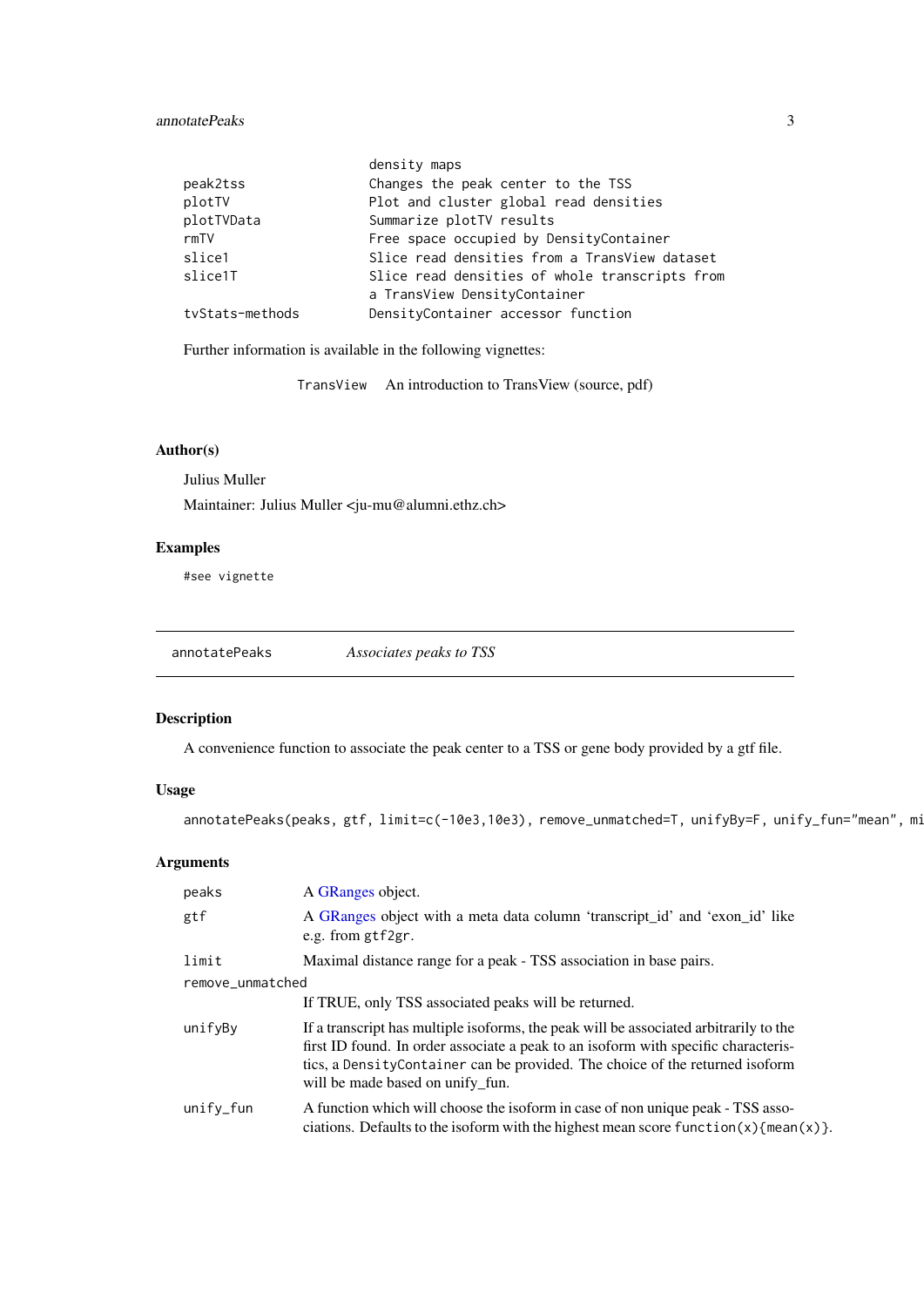#### <span id="page-2-0"></span>annotatePeaks 3

|                 | density maps                                   |
|-----------------|------------------------------------------------|
| peak2tss        | Changes the peak center to the TSS             |
| plotTV          | Plot and cluster global read densities         |
| plotTVData      | Summarize plotTV results                       |
| rmTV            | Free space occupied by DensityContainer        |
| slice1          | Slice read densities from a TransView dataset  |
| slice1T         | Slice read densities of whole transcripts from |
|                 | a TransView DensityContainer                   |
| tvStats-methods | DensityContainer accessor function             |

Further information is available in the following vignettes:

TransView An introduction to TransView (source, pdf)

# Author(s)

Julius Muller

Maintainer: Julius Muller <ju-mu@alumni.ethz.ch>

# Examples

#see vignette

annotatePeaks *Associates peaks to TSS*

# Description

A convenience function to associate the peak center to a TSS or gene body provided by a gtf file.

# Usage

annotatePeaks(peaks, gtf, limit=c(-10e3,10e3), remove\_unmatched=T, unifyBy=F, unify\_fun="mean", mi

# Arguments

| peaks            | A GRanges object.                                                                                                                                                                                                                                                                                |
|------------------|--------------------------------------------------------------------------------------------------------------------------------------------------------------------------------------------------------------------------------------------------------------------------------------------------|
| gtf              | A GRanges object with a meta data column 'transcript_id' and 'exon_id' like<br>e.g. from gtf2gr.                                                                                                                                                                                                 |
| limit            | Maximal distance range for a peak - TSS association in base pairs.                                                                                                                                                                                                                               |
| remove_unmatched |                                                                                                                                                                                                                                                                                                  |
|                  | If TRUE, only TSS associated peaks will be returned.                                                                                                                                                                                                                                             |
| unifyBy          | If a transcript has multiple isoforms, the peak will be associated arbitrarily to the<br>first ID found. In order associate a peak to an isoform with specific characteris-<br>tics, a Density Container can be provided. The choice of the returned isoform<br>will be made based on unify fun. |
| $unifv_fun$      | A function which will choose the isoform in case of non unique peak - TSS asso-<br>ciations. Defaults to the isoform with the highest mean score function(x) {mean(x)}.                                                                                                                          |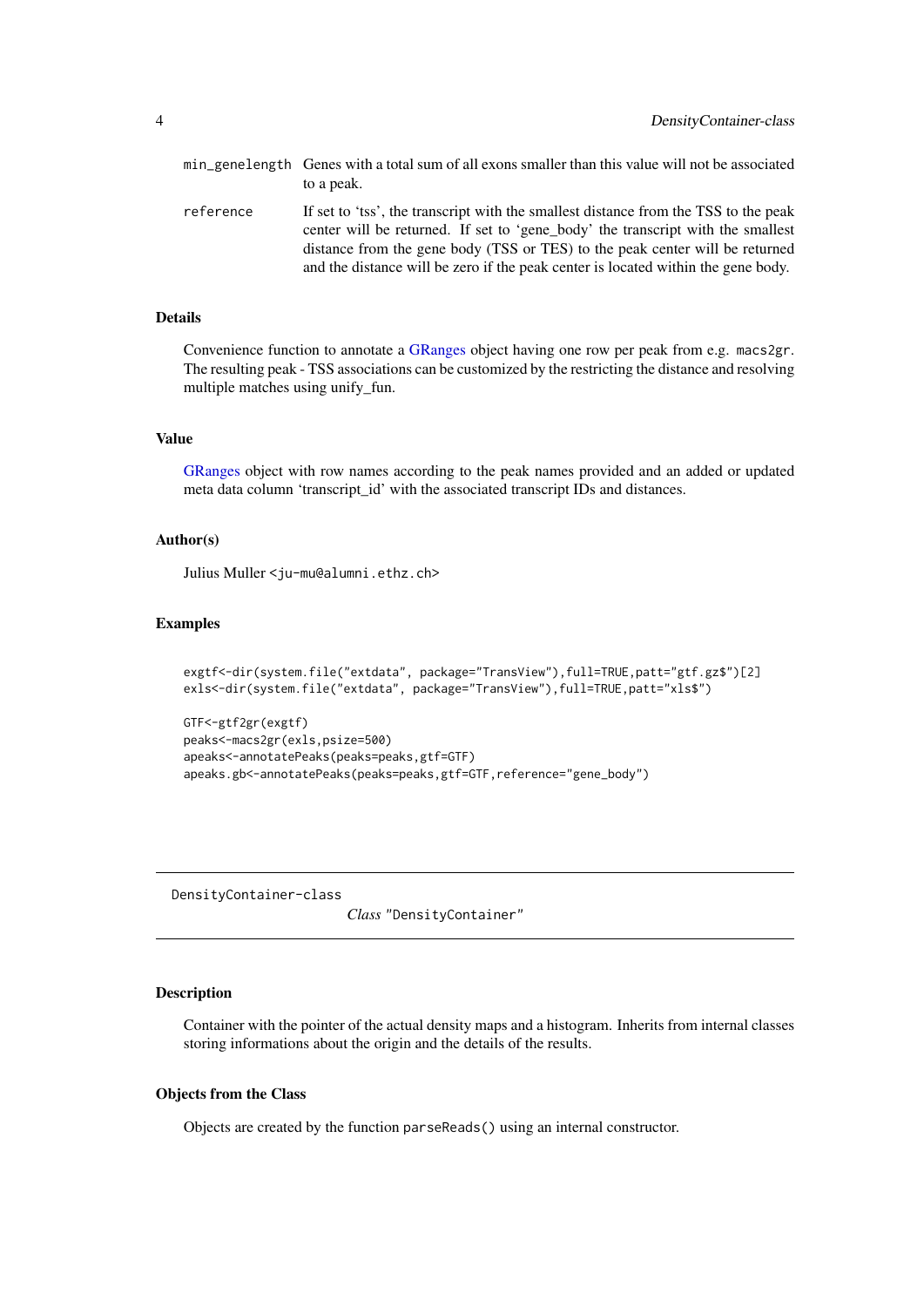<span id="page-3-0"></span>

|           | min_genelength Genes with a total sum of all exons smaller than this value will not be associated<br>to a peak.                                                                                                                                                                                                                             |
|-----------|---------------------------------------------------------------------------------------------------------------------------------------------------------------------------------------------------------------------------------------------------------------------------------------------------------------------------------------------|
| reference | If set to 'tss', the transcript with the smallest distance from the TSS to the peak<br>center will be returned. If set to 'gene_body' the transcript with the smallest<br>distance from the gene body (TSS or TES) to the peak center will be returned<br>and the distance will be zero if the peak center is located within the gene body. |

#### Details

Convenience function to annotate a [GRanges](#page-0-0) object having one row per peak from e.g. macs2gr. The resulting peak - TSS associations can be customized by the restricting the distance and resolving multiple matches using unify\_fun.

# Value

[GRanges](#page-0-0) object with row names according to the peak names provided and an added or updated meta data column 'transcript\_id' with the associated transcript IDs and distances.

# Author(s)

Julius Muller <ju-mu@alumni.ethz.ch>

#### Examples

```
exgtf<-dir(system.file("extdata", package="TransView"),full=TRUE,patt="gtf.gz$")[2]
exls<-dir(system.file("extdata", package="TransView"),full=TRUE,patt="xls$")
```

```
GTF<-gtf2gr(exgtf)
peaks<-macs2gr(exls,psize=500)
apeaks<-annotatePeaks(peaks=peaks,gtf=GTF)
apeaks.gb<-annotatePeaks(peaks=peaks,gtf=GTF,reference="gene_body")
```
<span id="page-3-1"></span>DensityContainer-class

*Class* "DensityContainer"

#### Description

Container with the pointer of the actual density maps and a histogram. Inherits from internal classes storing informations about the origin and the details of the results.

#### Objects from the Class

Objects are created by the function parseReads() using an internal constructor.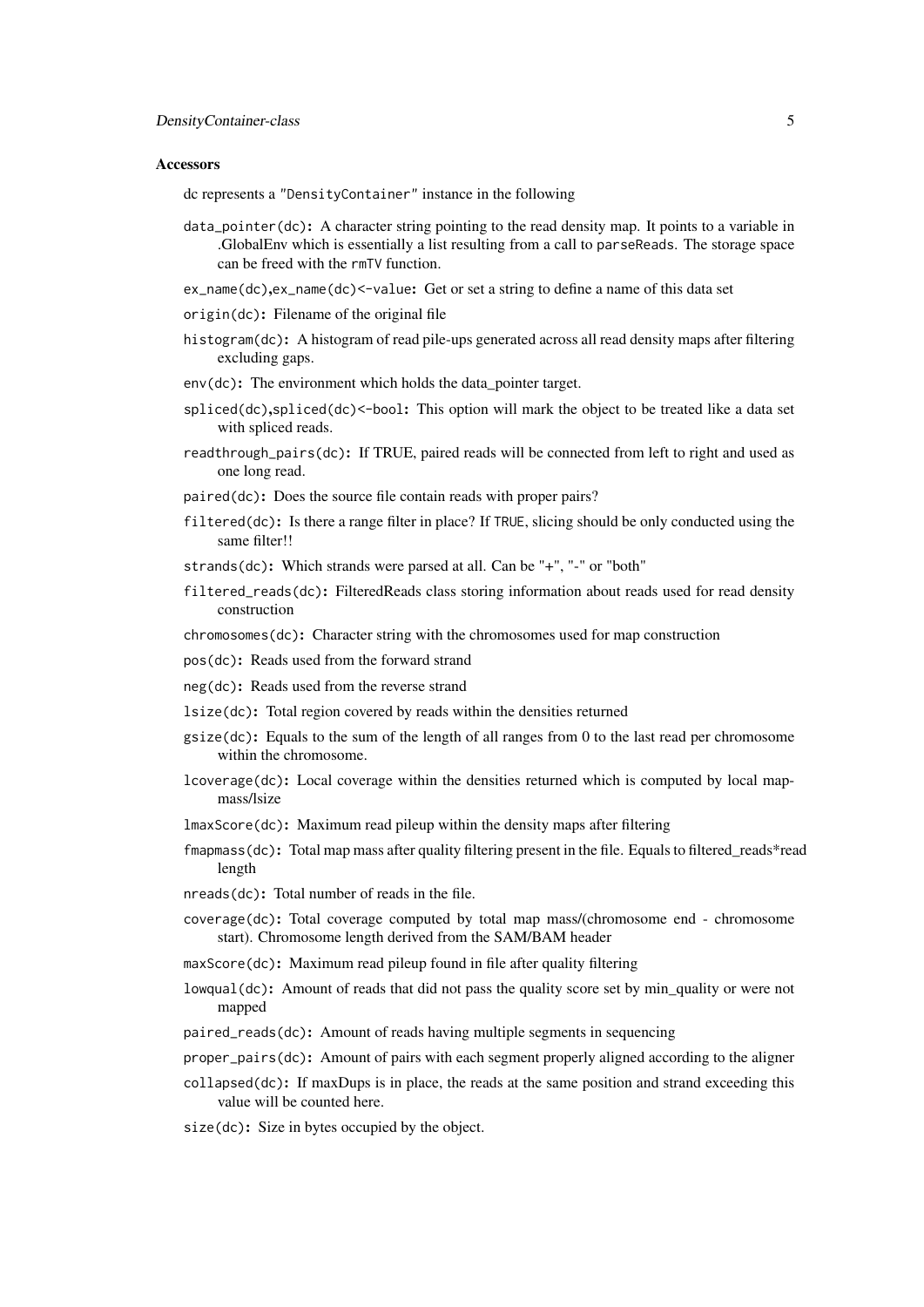#### Accessors

dc represents a "DensityContainer" instance in the following

- $data\_pointer(dc)$ : A character string pointing to the read density map. It points to a variable in .GlobalEnv which is essentially a list resulting from a call to parseReads. The storage space can be freed with the rmTV function.
- ex\_name(dc),ex\_name(dc)<-value: Get or set a string to define a name of this data set
- origin(dc): Filename of the original file
- histogram(dc): A histogram of read pile-ups generated across all read density maps after filtering excluding gaps.
- env(dc): The environment which holds the data pointer target.
- spliced(dc),spliced(dc)<-bool: This option will mark the object to be treated like a data set with spliced reads.
- readthrough\_pairs(dc): If TRUE, paired reads will be connected from left to right and used as one long read.
- paired(dc): Does the source file contain reads with proper pairs?
- filtered(dc): Is there a range filter in place? If TRUE, slicing should be only conducted using the same filter!!
- strands(dc): Which strands were parsed at all. Can be "+", "-" or "both"
- filtered\_reads(dc): FilteredReads class storing information about reads used for read density construction

chromosomes(dc): Character string with the chromosomes used for map construction

- pos(dc): Reads used from the forward strand
- neg(dc): Reads used from the reverse strand
- lsize(dc): Total region covered by reads within the densities returned
- $gsize(dc)$ : Equals to the sum of the length of all ranges from 0 to the last read per chromosome within the chromosome.
- lcoverage(dc): Local coverage within the densities returned which is computed by local mapmass/lsize
- lmaxScore(dc): Maximum read pileup within the density maps after filtering
- fmapmass(dc): Total map mass after quality filtering present in the file. Equals to filtered\_reads\*read length
- nreads(dc): Total number of reads in the file.
- coverage(dc): Total coverage computed by total map mass/(chromosome end chromosome start). Chromosome length derived from the SAM/BAM header
- maxScore(dc): Maximum read pileup found in file after quality filtering
- lowqual(dc): Amount of reads that did not pass the quality score set by min\_quality or were not mapped
- paired\_reads(dc): Amount of reads having multiple segments in sequencing
- proper\_pairs(dc): Amount of pairs with each segment properly aligned according to the aligner
- collapsed(dc): If maxDups is in place, the reads at the same position and strand exceeding this value will be counted here.
- size(dc): Size in bytes occupied by the object.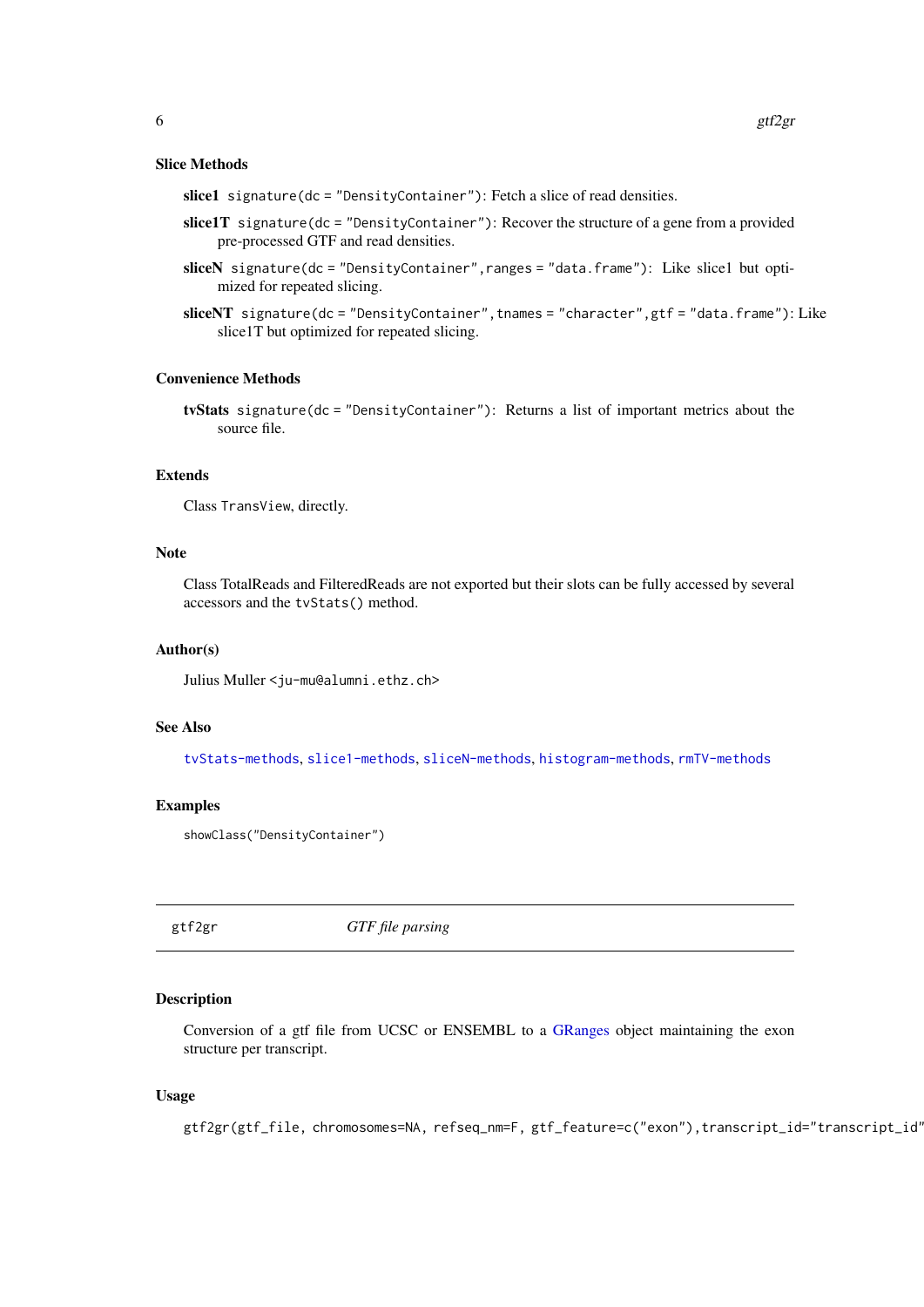#### <span id="page-5-0"></span>Slice Methods

slice1 signature(dc = "DensityContainer"): Fetch a slice of read densities.

- slice1T signature(dc = "DensityContainer"): Recover the structure of a gene from a provided pre-processed GTF and read densities.
- sliceN signature(dc = "DensityContainer",ranges = "data.frame"): Like slice1 but optimized for repeated slicing.
- sliceNT signature(dc = "DensityContainer",tnames = "character",gtf = "data.frame"): Like slice1T but optimized for repeated slicing.

#### Convenience Methods

tvStats signature(dc = "DensityContainer"): Returns a list of important metrics about the source file.

# Extends

Class TransView, directly.

# Note

Class TotalReads and FilteredReads are not exported but their slots can be fully accessed by several accessors and the tvStats() method.

#### Author(s)

Julius Muller <ju-mu@alumni.ethz.ch>

#### See Also

[tvStats-methods](#page-21-1), [slice1-methods](#page-16-1), [sliceN-methods](#page-16-1), [histogram-methods](#page-6-1), [rmTV-methods](#page-16-2)

#### Examples

```
showClass("DensityContainer")
```
gtf2gr *GTF file parsing*

#### Description

Conversion of a gtf file from UCSC or ENSEMBL to a [GRanges](#page-0-0) object maintaining the exon structure per transcript.

# Usage

gtf2gr(gtf\_file, chromosomes=NA, refseq\_nm=F, gtf\_feature=c("exon"),transcript\_id="transcript\_id'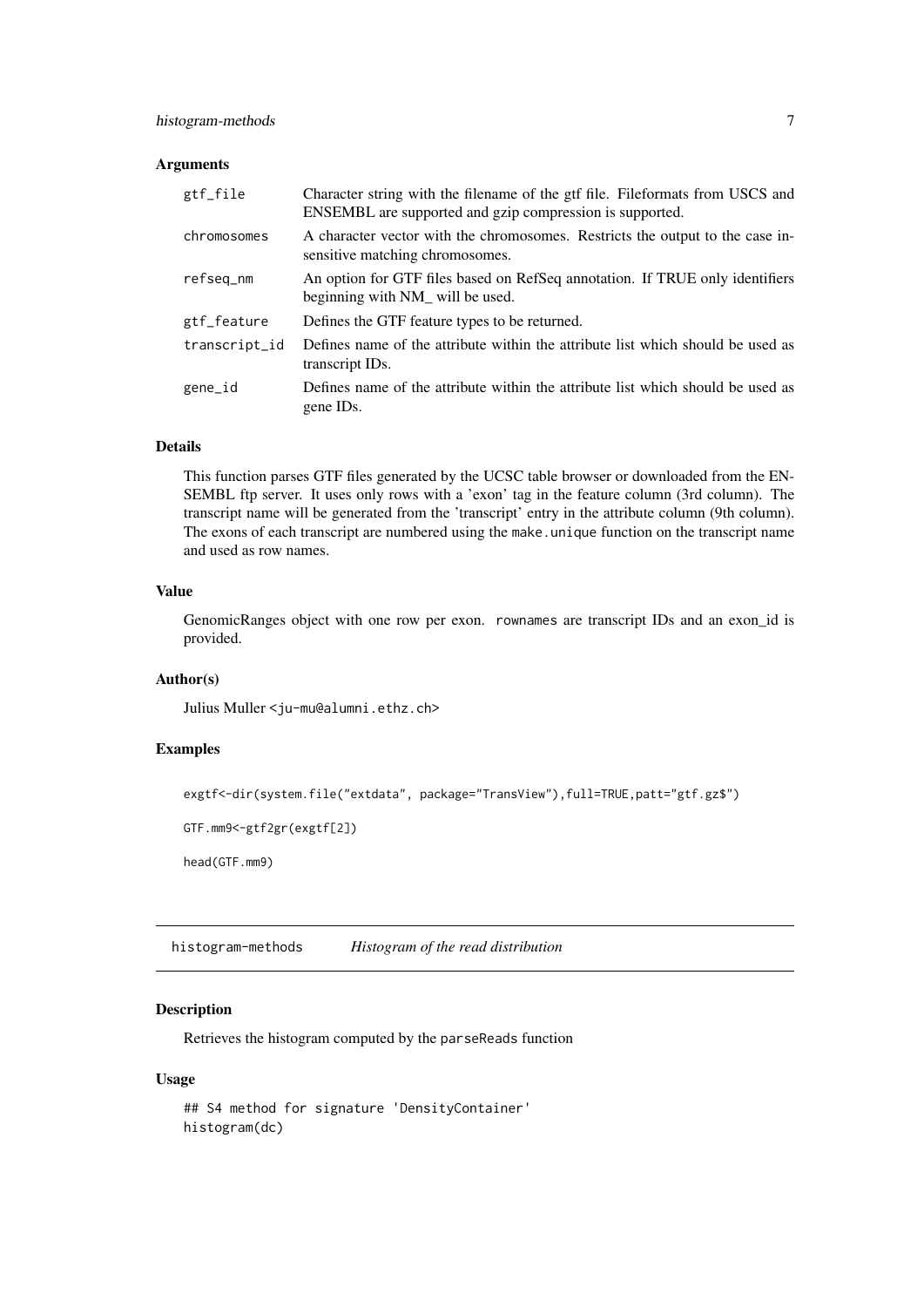# <span id="page-6-0"></span>Arguments

| gtf_file      | Character string with the filename of the gtf file. Fileformats from USCS and<br>ENSEMBL are supported and gzip compression is supported. |
|---------------|-------------------------------------------------------------------------------------------------------------------------------------------|
| chromosomes   | A character vector with the chromosomes. Restricts the output to the case in-<br>sensitive matching chromosomes.                          |
| refseq_nm     | An option for GTF files based on RefSeq annotation. If TRUE only identifiers<br>beginning with NM_ will be used.                          |
| gtf_feature   | Defines the GTF feature types to be returned.                                                                                             |
| transcript_id | Defines name of the attribute within the attribute list which should be used as<br>transcript IDs.                                        |
| gene_id       | Defines name of the attribute within the attribute list which should be used as<br>gene ID <sub>s</sub> .                                 |

# Details

This function parses GTF files generated by the UCSC table browser or downloaded from the EN-SEMBL ftp server. It uses only rows with a 'exon' tag in the feature column (3rd column). The transcript name will be generated from the 'transcript' entry in the attribute column (9th column). The exons of each transcript are numbered using the make.unique function on the transcript name and used as row names.

#### Value

GenomicRanges object with one row per exon. rownames are transcript IDs and an exon\_id is provided.

#### Author(s)

Julius Muller <ju-mu@alumni.ethz.ch>

#### Examples

```
exgtf<-dir(system.file("extdata", package="TransView"),full=TRUE,patt="gtf.gz$")
```

```
GTF.mm9<-gtf2gr(exgtf[2])
```
head(GTF.mm9)

<span id="page-6-1"></span>histogram-methods *Histogram of the read distribution*

# Description

Retrieves the histogram computed by the parseReads function

#### Usage

```
## S4 method for signature 'DensityContainer'
histogram(dc)
```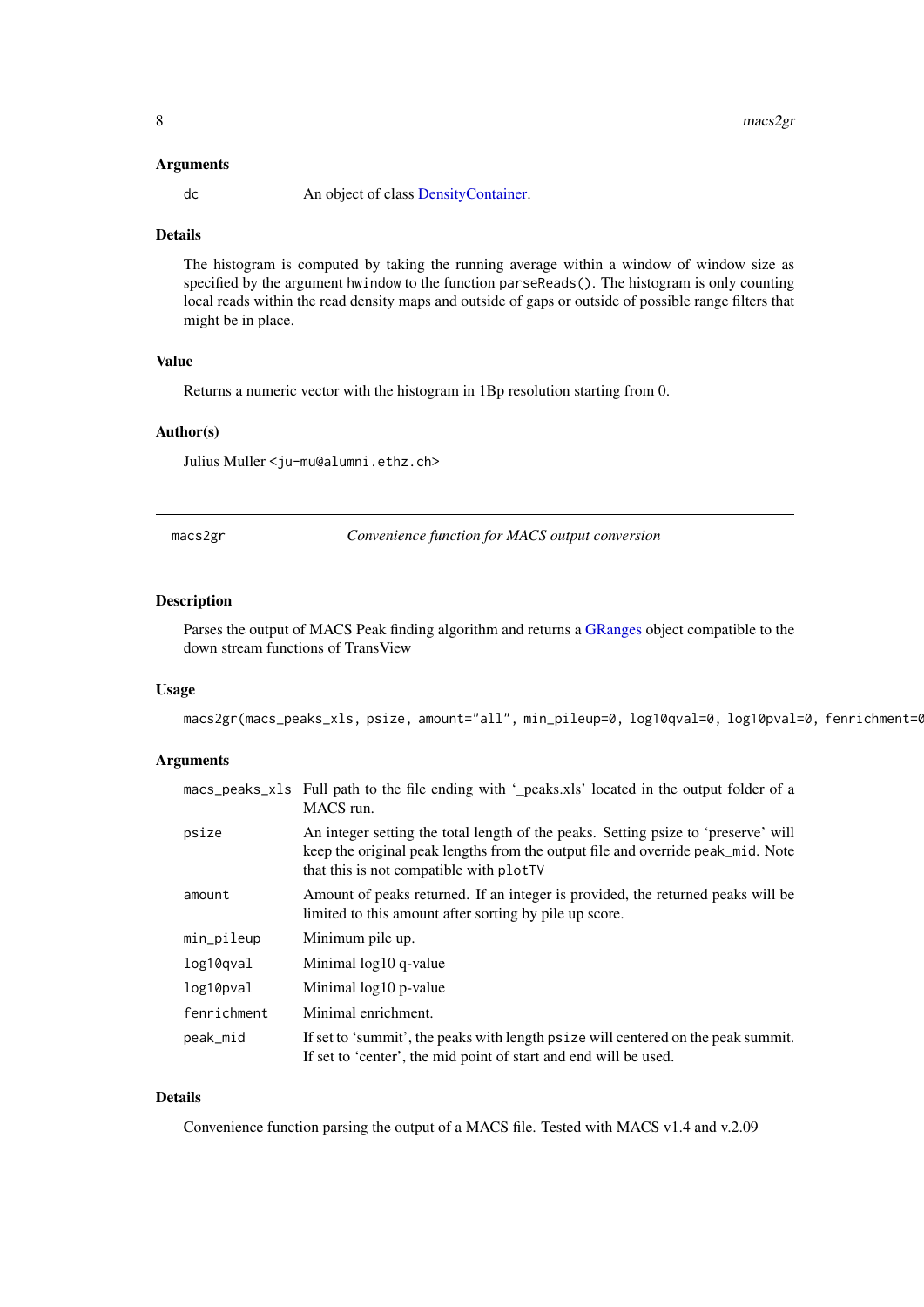#### <span id="page-7-0"></span>Arguments

dc An object of class [DensityContainer.](#page-3-1)

#### Details

The histogram is computed by taking the running average within a window of window size as specified by the argument hwindow to the function parseReads(). The histogram is only counting local reads within the read density maps and outside of gaps or outside of possible range filters that might be in place.

# Value

Returns a numeric vector with the histogram in 1Bp resolution starting from 0.

# Author(s)

Julius Muller <ju-mu@alumni.ethz.ch>

macs2gr *Convenience function for MACS output conversion*

#### Description

Parses the output of MACS Peak finding algorithm and returns a [GRanges](#page-0-0) object compatible to the down stream functions of TransView

# Usage

macs2gr(macs\_peaks\_xls, psize, amount="all", min\_pileup=0, log10qval=0, log10pval=0, fenrichment=(

#### Arguments

|             | macs_peaks_xls Full path to the file ending with '_peaks.xls' located in the output folder of a<br>MACS run.                                                                                                     |
|-------------|------------------------------------------------------------------------------------------------------------------------------------------------------------------------------------------------------------------|
| psize       | An integer setting the total length of the peaks. Setting psize to 'preserve' will<br>keep the original peak lengths from the output file and override peak_mid. Note<br>that this is not compatible with plotTV |
| amount      | Amount of peaks returned. If an integer is provided, the returned peaks will be<br>limited to this amount after sorting by pile up score.                                                                        |
| min_pileup  | Minimum pile up.                                                                                                                                                                                                 |
| log10qval   | Minimal log10 q-value                                                                                                                                                                                            |
| log10pval   | Minimal log10 p-value                                                                                                                                                                                            |
| fenrichment | Minimal enrichment.                                                                                                                                                                                              |
| peak_mid    | If set to 'summit', the peaks with length psize will centered on the peak summit.<br>If set to 'center', the mid point of start and end will be used.                                                            |

# Details

Convenience function parsing the output of a MACS file. Tested with MACS v1.4 and v.2.09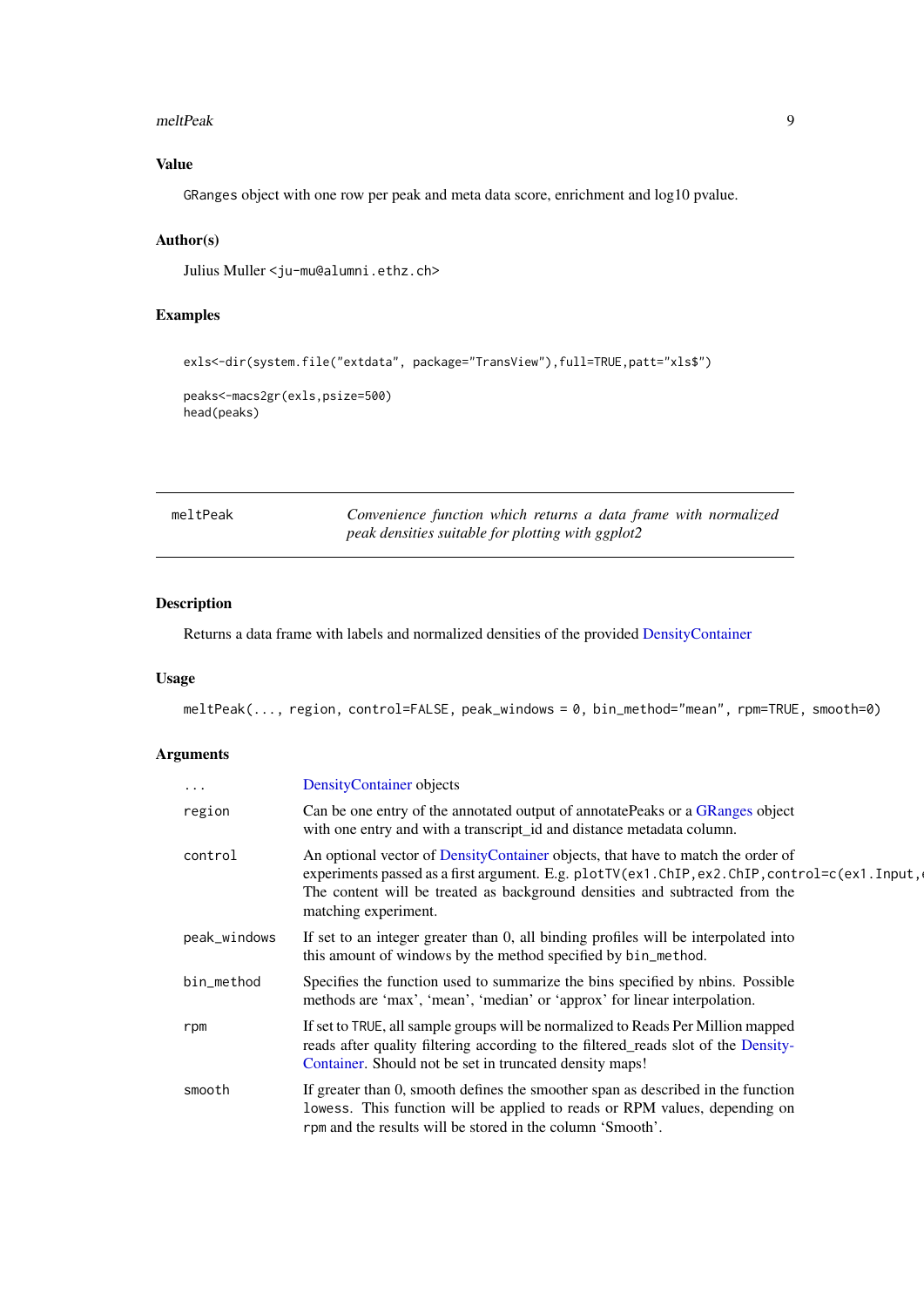#### <span id="page-8-0"></span>meltPeak 9

# Value

GRanges object with one row per peak and meta data score, enrichment and log10 pvalue.

# Author(s)

Julius Muller <ju-mu@alumni.ethz.ch>

# Examples

```
exls<-dir(system.file("extdata", package="TransView"),full=TRUE,patt="xls$")
peaks<-macs2gr(exls,psize=500)
head(peaks)
```

| meltPeak | Convenience function which returns a data frame with normalized |
|----------|-----------------------------------------------------------------|
|          | peak densities suitable for plotting with ggplot2               |

# Description

Returns a data frame with labels and normalized densities of the provided [DensityContainer](#page-3-1)

#### Usage

meltPeak(..., region, control=FALSE, peak\_windows = 0, bin\_method="mean", rpm=TRUE, smooth=0)

# Arguments

| $\ddots$     | DensityContainer objects                                                                                                                                                                                                                                                               |
|--------------|----------------------------------------------------------------------------------------------------------------------------------------------------------------------------------------------------------------------------------------------------------------------------------------|
| region       | Can be one entry of the annotated output of annotatePeaks or a GRanges object<br>with one entry and with a transcript_id and distance metadata column.                                                                                                                                 |
| control      | An optional vector of DensityContainer objects, that have to match the order of<br>experiments passed as a first argument. E.g. plotTV(ex1.ChIP, ex2.ChIP, control=c(ex1.Input,<br>The content will be treated as background densities and subtracted from the<br>matching experiment. |
| peak_windows | If set to an integer greater than 0, all binding profiles will be interpolated into<br>this amount of windows by the method specified by bin_method.                                                                                                                                   |
| bin_method   | Specifies the function used to summarize the bins specified by nbins. Possible<br>methods are 'max', 'mean', 'median' or 'approx' for linear interpolation.                                                                                                                            |
| rpm          | If set to TRUE, all sample groups will be normalized to Reads Per Million mapped<br>reads after quality filtering according to the filtered_reads slot of the Density-<br>Container. Should not be set in truncated density maps!                                                      |
| smooth       | If greater than 0, smooth defines the smoother span as described in the function<br>lowess. This function will be applied to reads or RPM values, depending on<br>rpm and the results will be stored in the column 'Smooth'.                                                           |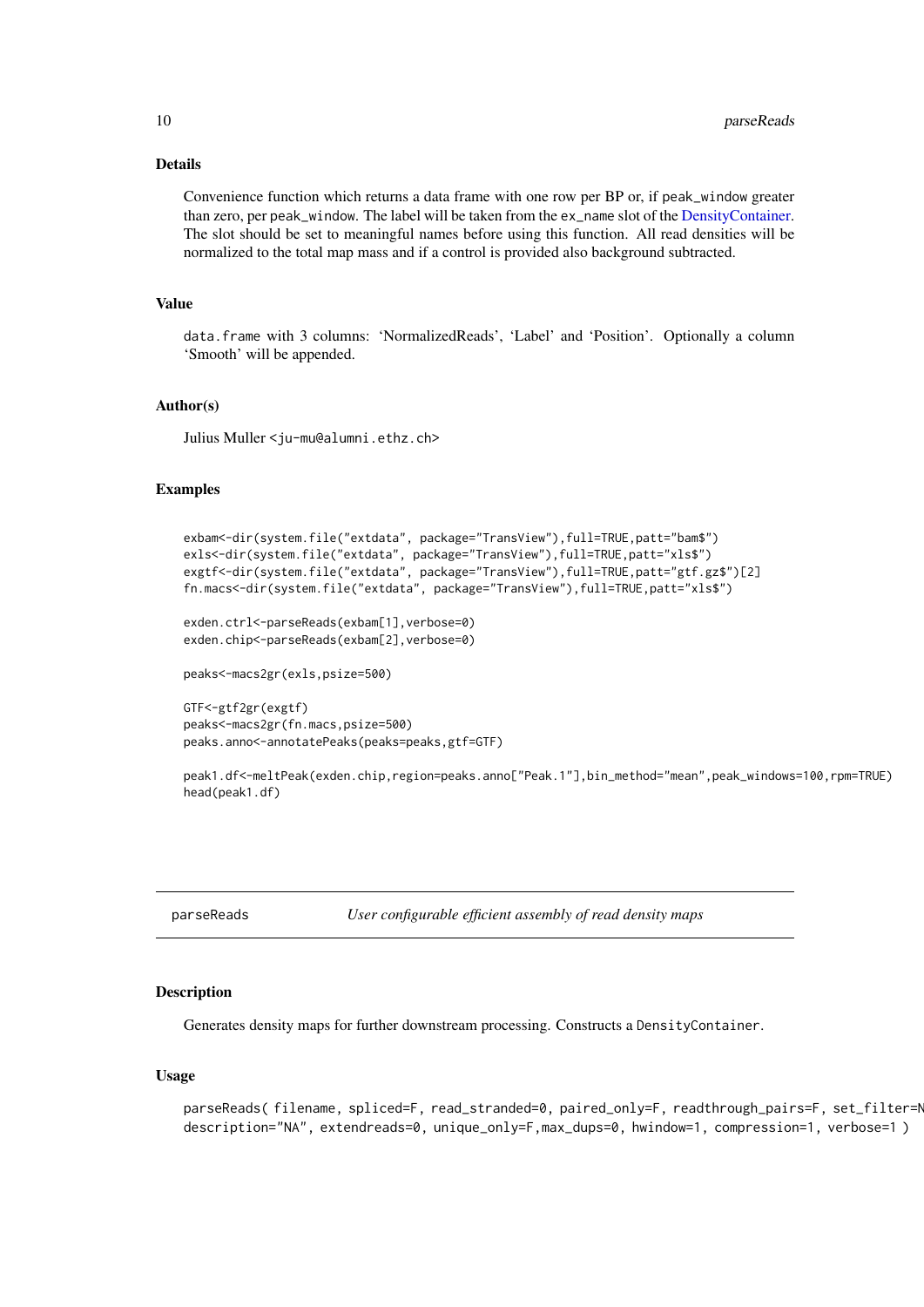#### Details

Convenience function which returns a data frame with one row per BP or, if peak\_window greater than zero, per peak\_window. The label will be taken from the ex\_name slot of the [DensityContainer.](#page-3-1) The slot should be set to meaningful names before using this function. All read densities will be normalized to the total map mass and if a control is provided also background subtracted.

# Value

data.frame with 3 columns: 'NormalizedReads', 'Label' and 'Position'. Optionally a column 'Smooth' will be appended.

#### Author(s)

Julius Muller <ju-mu@alumni.ethz.ch>

#### Examples

```
exbam<-dir(system.file("extdata", package="TransView"),full=TRUE,patt="bam$")
exls<-dir(system.file("extdata", package="TransView"),full=TRUE,patt="xls$")
exgtf<-dir(system.file("extdata", package="TransView"),full=TRUE,patt="gtf.gz$")[2]
fn.macs<-dir(system.file("extdata", package="TransView"),full=TRUE,patt="xls$")
```

```
exden.ctrl<-parseReads(exbam[1], verbose=0)
exden.chip<-parseReads(exbam[2],verbose=0)
```
peaks<-macs2gr(exls,psize=500)

```
GTF<-gtf2gr(exgtf)
peaks<-macs2gr(fn.macs,psize=500)
peaks.anno<-annotatePeaks(peaks=peaks,gtf=GTF)
```
peak1.df<-meltPeak(exden.chip,region=peaks.anno<sup>r</sup>"Peak.1"],bin\_method="mean",peak\_windows=100,rpm=TRUE) head(peak1.df)

parseReads *User configurable efficient assembly of read density maps*

#### Description

Generates density maps for further downstream processing. Constructs a DensityContainer.

#### Usage

```
parseReads(filename, spliced=F, read_stranded=0, paired_only=F, readthrough_pairs=F, set_filter=N
description="NA", extendreads=0, unique_only=F,max_dups=0, hwindow=1, compression=1, verbose=1 )
```
<span id="page-9-0"></span>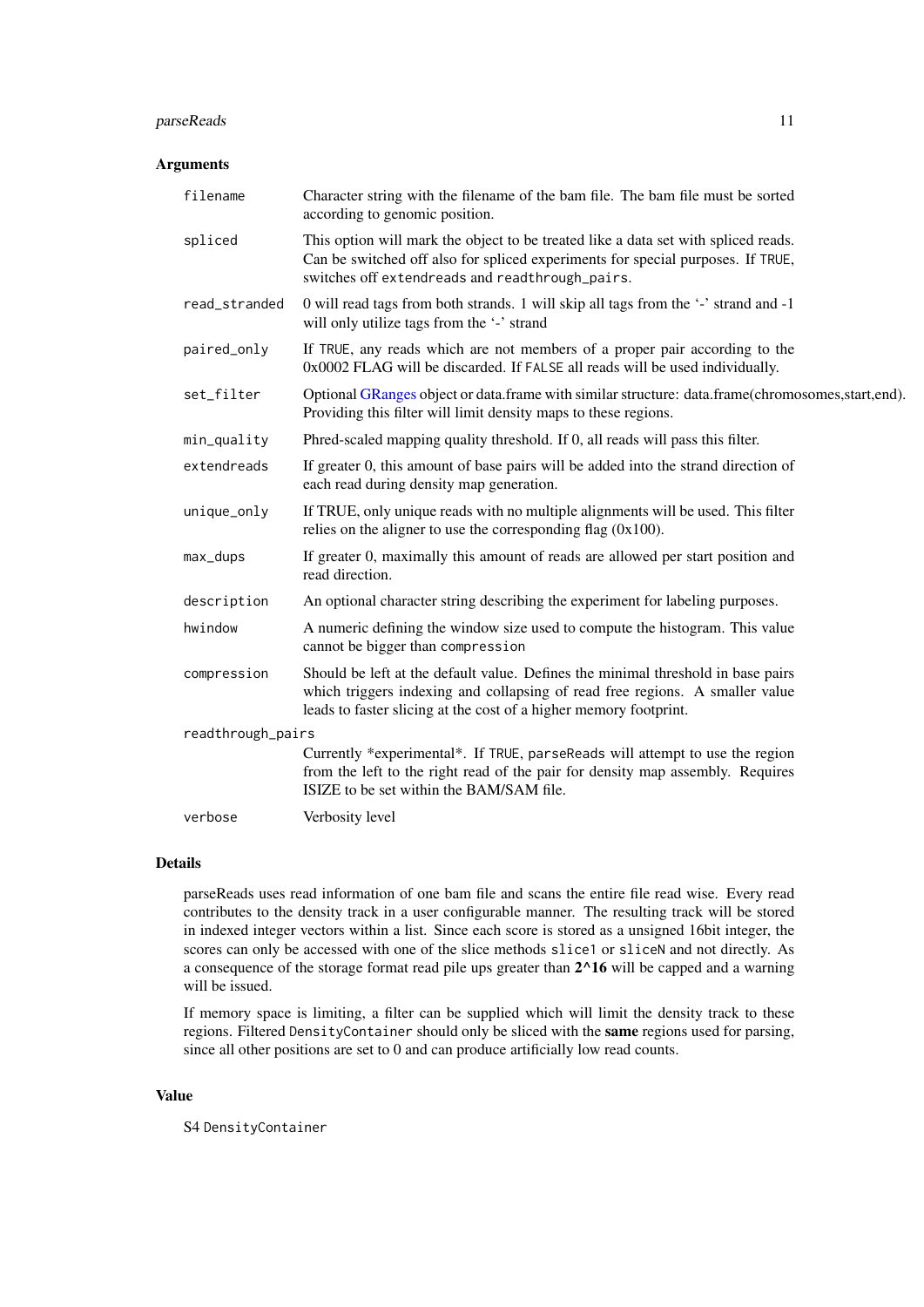#### <span id="page-10-0"></span>parseReads 11

#### Arguments

| filename          | Character string with the filename of the bam file. The bam file must be sorted<br>according to genomic position.                                                                                                                     |  |
|-------------------|---------------------------------------------------------------------------------------------------------------------------------------------------------------------------------------------------------------------------------------|--|
| spliced           | This option will mark the object to be treated like a data set with spliced reads.<br>Can be switched off also for spliced experiments for special purposes. If TRUE,<br>switches off extendreads and readthrough_pairs.              |  |
| read_stranded     | 0 will read tags from both strands. 1 will skip all tags from the '-' strand and -1<br>will only utilize tags from the '-' strand                                                                                                     |  |
| paired_only       | If TRUE, any reads which are not members of a proper pair according to the<br>0x0002 FLAG will be discarded. If FALSE all reads will be used individually.                                                                            |  |
| set_filter        | Optional GRanges object or data.frame with similar structure: data.frame(chromosomes,start,end).<br>Providing this filter will limit density maps to these regions.                                                                   |  |
| min_quality       | Phred-scaled mapping quality threshold. If 0, all reads will pass this filter.                                                                                                                                                        |  |
| extendreads       | If greater 0, this amount of base pairs will be added into the strand direction of<br>each read during density map generation.                                                                                                        |  |
| unique_only       | If TRUE, only unique reads with no multiple alignments will be used. This filter<br>relies on the aligner to use the corresponding flag $(0x100)$ .                                                                                   |  |
| max_dups          | If greater 0, maximally this amount of reads are allowed per start position and<br>read direction.                                                                                                                                    |  |
| description       | An optional character string describing the experiment for labeling purposes.                                                                                                                                                         |  |
| hwindow           | A numeric defining the window size used to compute the histogram. This value<br>cannot be bigger than compression                                                                                                                     |  |
| compression       | Should be left at the default value. Defines the minimal threshold in base pairs<br>which triggers indexing and collapsing of read free regions. A smaller value<br>leads to faster slicing at the cost of a higher memory footprint. |  |
| readthrough_pairs |                                                                                                                                                                                                                                       |  |
|                   | Currently *experimental*. If TRUE, parseReads will attempt to use the region<br>from the left to the right read of the pair for density map assembly. Requires<br>ISIZE to be set within the BAM/SAM file.                            |  |
| verbose           | Verbosity level                                                                                                                                                                                                                       |  |

#### Details

parseReads uses read information of one bam file and scans the entire file read wise. Every read contributes to the density track in a user configurable manner. The resulting track will be stored in indexed integer vectors within a list. Since each score is stored as a unsigned 16bit integer, the scores can only be accessed with one of the slice methods slice1 or sliceN and not directly. As a consequence of the storage format read pile ups greater than 2^16 will be capped and a warning will be issued.

If memory space is limiting, a filter can be supplied which will limit the density track to these regions. Filtered DensityContainer should only be sliced with the same regions used for parsing, since all other positions are set to 0 and can produce artificially low read counts.

# Value

S4 DensityContainer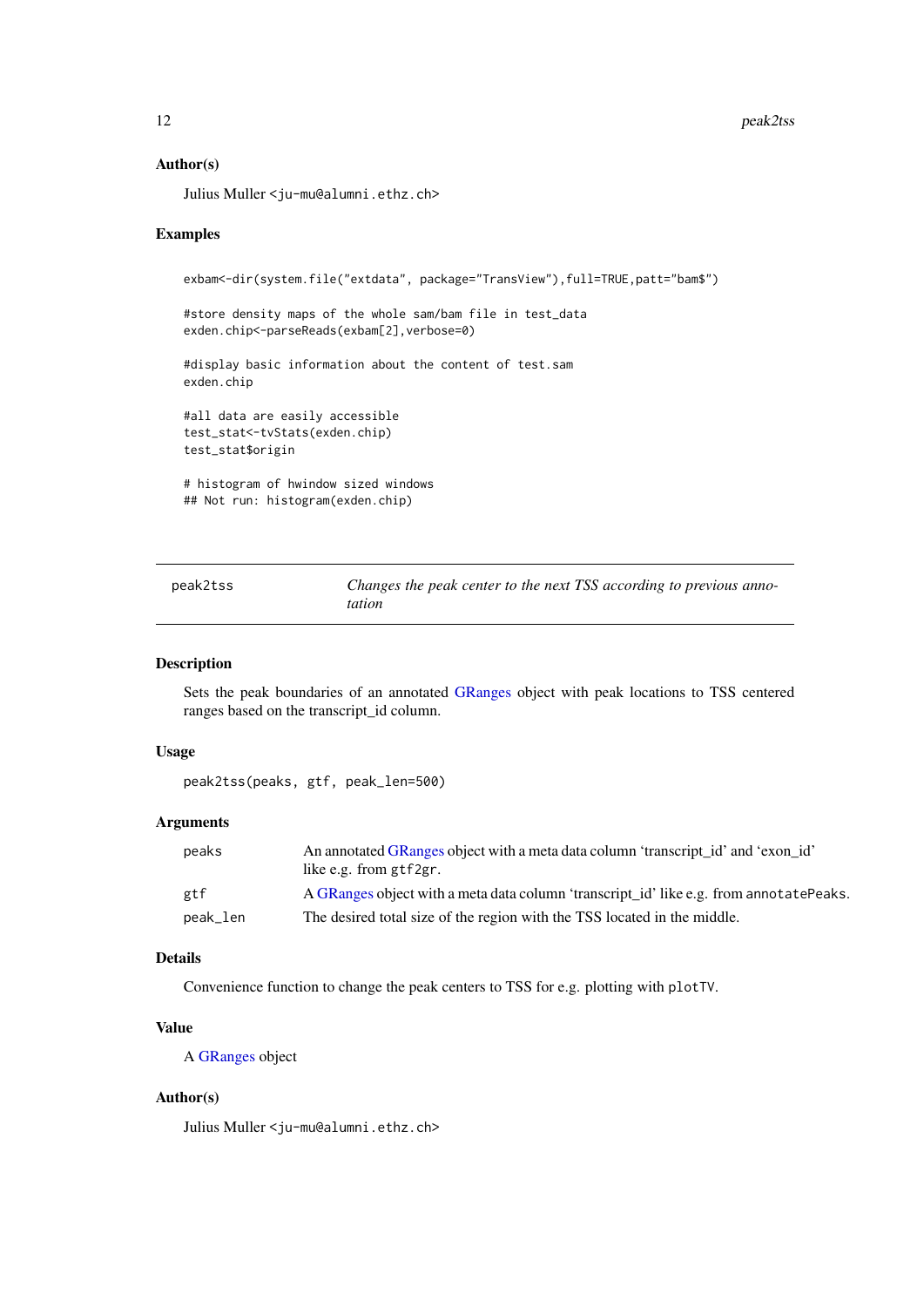# Author(s)

Julius Muller <ju-mu@alumni.ethz.ch>

#### Examples

exbam<-dir(system.file("extdata", package="TransView"),full=TRUE,patt="bam\$") #store density maps of the whole sam/bam file in test\_data exden.chip<-parseReads(exbam[2], verbose=0) #display basic information about the content of test.sam exden.chip #all data are easily accessible test\_stat<-tvStats(exden.chip) test\_stat\$origin # histogram of hwindow sized windows ## Not run: histogram(exden.chip)

| peak2tss | Changes the peak center to the next TSS according to previous anno- |
|----------|---------------------------------------------------------------------|
|          | <i>tation</i>                                                       |

# Description

Sets the peak boundaries of an annotated [GRanges](#page-0-0) object with peak locations to TSS centered ranges based on the transcript\_id column.

#### Usage

```
peak2tss(peaks, gtf, peak_len=500)
```
#### Arguments

| peaks    | An annotated GRanges object with a meta data column 'transcript id' and 'exon id'<br>like e.g. from gtf2gr. |
|----------|-------------------------------------------------------------------------------------------------------------|
| gtf      | A GRanges object with a meta data column 'transcript_id' like e.g. from annotatePeaks.                      |
| peak_len | The desired total size of the region with the TSS located in the middle.                                    |

# Details

Convenience function to change the peak centers to TSS for e.g. plotting with plotTV.

#### Value

A [GRanges](#page-0-0) object

# Author(s)

Julius Muller <ju-mu@alumni.ethz.ch>

<span id="page-11-0"></span>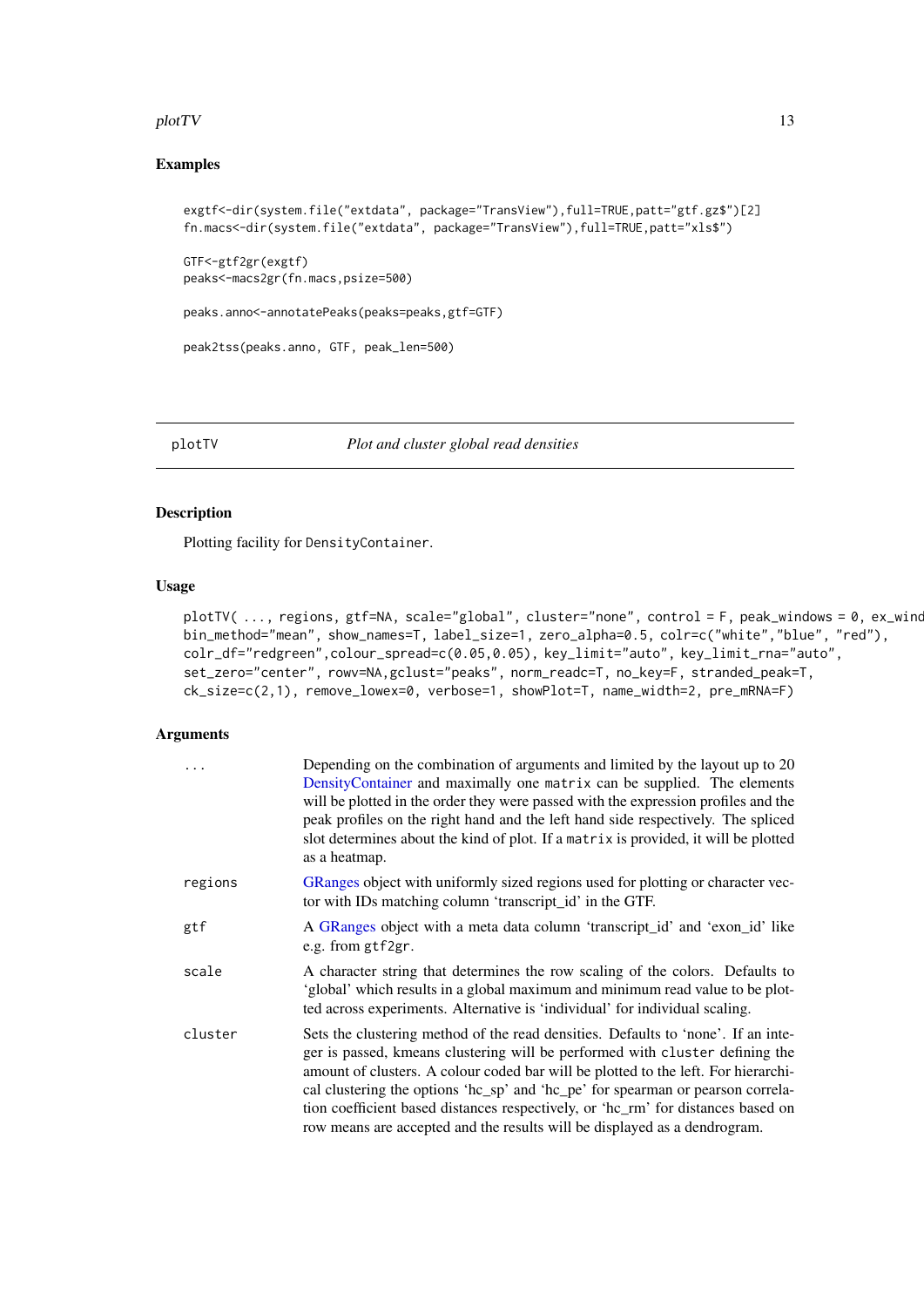#### <span id="page-12-0"></span>plotTV and the set of the set of the set of the set of the set of the set of the set of the set of the set of the set of the set of the set of the set of the set of the set of the set of the set of the set of the set of th

#### Examples

```
exgtf<-dir(system.file("extdata", package="TransView"),full=TRUE,patt="gtf.gz$")[2]
fn.macs<-dir(system.file("extdata", package="TransView"),full=TRUE,patt="xls$")
```
GTF<-gtf2gr(exgtf) peaks<-macs2gr(fn.macs,psize=500)

peaks.anno<-annotatePeaks(peaks=peaks,gtf=GTF)

```
peak2tss(peaks.anno, GTF, peak_len=500)
```

```
plotTV Plot and cluster global read densities
```
#### Description

Plotting facility for DensityContainer.

#### Usage

```
plotTV( ..., regions, gtf=NA, scale="global", cluster="none", control = F, peak_windows = 0, ex_wind
bin_method="mean", show_names=T, label_size=1, zero_alpha=0.5, colr=c("white","blue", "red"),
colr_df="redgreen",colour_spread=c(0.05,0.05), key_limit="auto", key_limit_rna="auto",
set_zero="center", rowv=NA,gclust="peaks", norm_readc=T, no_key=F, stranded_peak=T,
ck_size=c(2,1), remove_lowex=0, verbose=1, showPlot=T, name_width=2, pre_mRNA=F)
```
#### Arguments

| $\ddots$ | Depending on the combination of arguments and limited by the layout up to 20<br>DensityContainer and maximally one matrix can be supplied. The elements<br>will be plotted in the order they were passed with the expression profiles and the<br>peak profiles on the right hand and the left hand side respectively. The spliced<br>slot determines about the kind of plot. If a matrix is provided, it will be plotted<br>as a heatmap.                                                                   |
|----------|-------------------------------------------------------------------------------------------------------------------------------------------------------------------------------------------------------------------------------------------------------------------------------------------------------------------------------------------------------------------------------------------------------------------------------------------------------------------------------------------------------------|
| regions  | GRanges object with uniformly sized regions used for plotting or character vec-<br>tor with IDs matching column 'transcript_id' in the GTF.                                                                                                                                                                                                                                                                                                                                                                 |
| gtf      | A GRanges object with a meta data column 'transcript_id' and 'exon_id' like<br>e.g. from gtf2gr.                                                                                                                                                                                                                                                                                                                                                                                                            |
| scale    | A character string that determines the row scaling of the colors. Defaults to<br>'global' which results in a global maximum and minimum read value to be plot-<br>ted across experiments. Alternative is 'individual' for individual scaling.                                                                                                                                                                                                                                                               |
| cluster  | Sets the clustering method of the read densities. Defaults to 'none'. If an inte-<br>ger is passed, kmeans clustering will be performed with cluster defining the<br>amount of clusters. A colour coded bar will be plotted to the left. For hierarchi-<br>cal clustering the options 'hc_sp' and 'hc_pe' for spearman or pearson correla-<br>tion coefficient based distances respectively, or 'hc_rm' for distances based on<br>row means are accepted and the results will be displayed as a dendrogram. |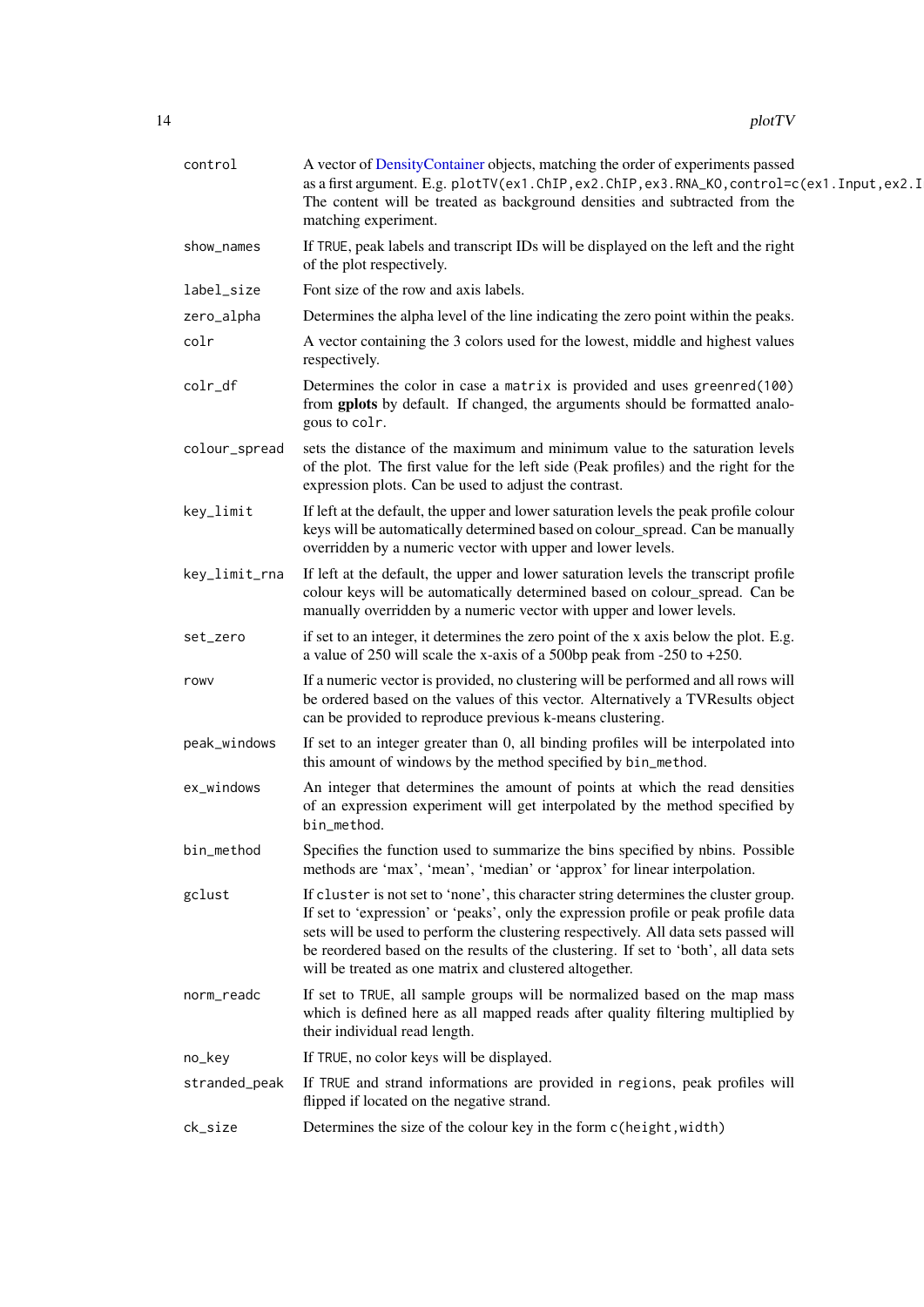| 14 | plotTV |
|----|--------|
|----|--------|

| control       | A vector of DensityContainer objects, matching the order of experiments passed<br>as a first argument. E.g. plotTV(ex1.ChIP, ex2.ChIP, ex3.RNA_KO, control=c(ex1.Input, ex2.I<br>The content will be treated as background densities and subtracted from the<br>matching experiment.                                                                                                                                  |
|---------------|-----------------------------------------------------------------------------------------------------------------------------------------------------------------------------------------------------------------------------------------------------------------------------------------------------------------------------------------------------------------------------------------------------------------------|
| show_names    | If TRUE, peak labels and transcript IDs will be displayed on the left and the right<br>of the plot respectively.                                                                                                                                                                                                                                                                                                      |
| label_size    | Font size of the row and axis labels.                                                                                                                                                                                                                                                                                                                                                                                 |
| zero_alpha    | Determines the alpha level of the line indicating the zero point within the peaks.                                                                                                                                                                                                                                                                                                                                    |
| colr          | A vector containing the 3 colors used for the lowest, middle and highest values<br>respectively.                                                                                                                                                                                                                                                                                                                      |
| colr_df       | Determines the color in case a matrix is provided and uses greenred(100)<br>from gplots by default. If changed, the arguments should be formatted analo-<br>gous to colr.                                                                                                                                                                                                                                             |
| colour_spread | sets the distance of the maximum and minimum value to the saturation levels<br>of the plot. The first value for the left side (Peak profiles) and the right for the<br>expression plots. Can be used to adjust the contrast.                                                                                                                                                                                          |
| key_limit     | If left at the default, the upper and lower saturation levels the peak profile colour<br>keys will be automatically determined based on colour_spread. Can be manually<br>overridden by a numeric vector with upper and lower levels.                                                                                                                                                                                 |
| key_limit_rna | If left at the default, the upper and lower saturation levels the transcript profile<br>colour keys will be automatically determined based on colour_spread. Can be<br>manually overridden by a numeric vector with upper and lower levels.                                                                                                                                                                           |
| set_zero      | if set to an integer, it determines the zero point of the x axis below the plot. E.g.<br>a value of 250 will scale the x-axis of a 500bp peak from $-250$ to $+250$ .                                                                                                                                                                                                                                                 |
| rowy          | If a numeric vector is provided, no clustering will be performed and all rows will<br>be ordered based on the values of this vector. Alternatively a TVResults object<br>can be provided to reproduce previous k-means clustering.                                                                                                                                                                                    |
| peak_windows  | If set to an integer greater than 0, all binding profiles will be interpolated into<br>this amount of windows by the method specified by bin_method.                                                                                                                                                                                                                                                                  |
| ex_windows    | An integer that determines the amount of points at which the read densities<br>of an expression experiment will get interpolated by the method specified by<br>bin_method.                                                                                                                                                                                                                                            |
| bin_method    | Specifies the function used to summarize the bins specified by nbins. Possible<br>methods are 'max', 'mean', 'median' or 'approx' for linear interpolation.                                                                                                                                                                                                                                                           |
| gclust        | If cluster is not set to 'none', this character string determines the cluster group.<br>If set to 'expression' or 'peaks', only the expression profile or peak profile data<br>sets will be used to perform the clustering respectively. All data sets passed will<br>be reordered based on the results of the clustering. If set to 'both', all data sets<br>will be treated as one matrix and clustered altogether. |
| norm_readc    | If set to TRUE, all sample groups will be normalized based on the map mass<br>which is defined here as all mapped reads after quality filtering multiplied by<br>their individual read length.                                                                                                                                                                                                                        |
| no_key        | If TRUE, no color keys will be displayed.                                                                                                                                                                                                                                                                                                                                                                             |
| stranded_peak | If TRUE and strand informations are provided in regions, peak profiles will<br>flipped if located on the negative strand.                                                                                                                                                                                                                                                                                             |
| ck_size       | Determines the size of the colour key in the form c(height, width)                                                                                                                                                                                                                                                                                                                                                    |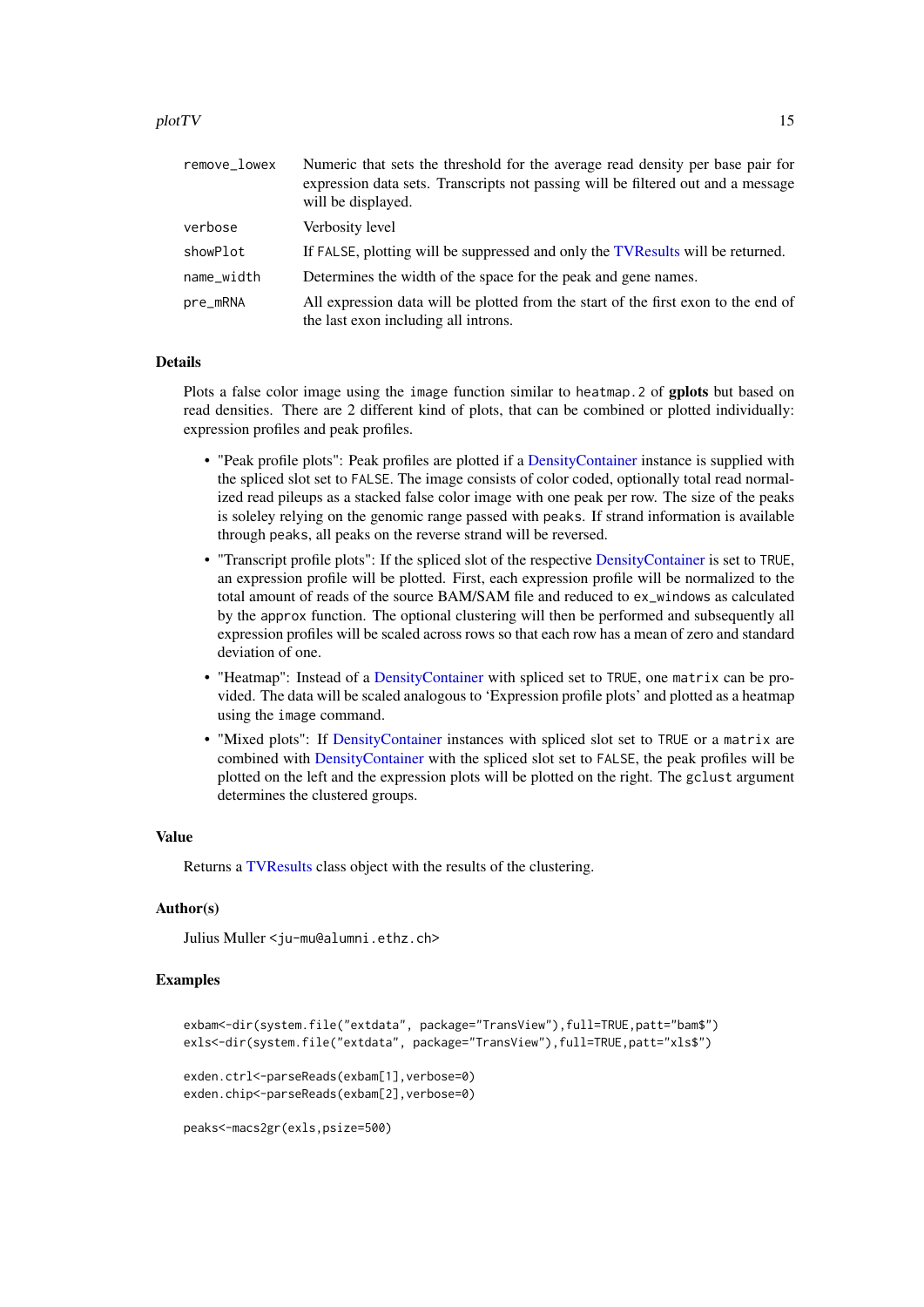<span id="page-14-0"></span>

| remove_lowex | Numeric that sets the threshold for the average read density per base pair for<br>expression data sets. Transcripts not passing will be filtered out and a message<br>will be displayed. |
|--------------|------------------------------------------------------------------------------------------------------------------------------------------------------------------------------------------|
| verbose      | Verbosity level                                                                                                                                                                          |
| showPlot     | If FALSE, plotting will be suppressed and only the TVR esults will be returned.                                                                                                          |
| name_width   | Determines the width of the space for the peak and gene names.                                                                                                                           |
| pre_mRNA     | All expression data will be plotted from the start of the first exon to the end of<br>the last exon including all introns.                                                               |

#### Details

Plots a false color image using the image function similar to heatmap.2 of gplots but based on read densities. There are 2 different kind of plots, that can be combined or plotted individually: expression profiles and peak profiles.

- "Peak profile plots": Peak profiles are plotted if a [DensityContainer](#page-3-1) instance is supplied with the spliced slot set to FALSE. The image consists of color coded, optionally total read normalized read pileups as a stacked false color image with one peak per row. The size of the peaks is soleley relying on the genomic range passed with peaks. If strand information is available through peaks, all peaks on the reverse strand will be reversed.
- "Transcript profile plots": If the spliced slot of the respective [DensityContainer](#page-3-1) is set to TRUE, an expression profile will be plotted. First, each expression profile will be normalized to the total amount of reads of the source BAM/SAM file and reduced to ex\_windows as calculated by the approx function. The optional clustering will then be performed and subsequently all expression profiles will be scaled across rows so that each row has a mean of zero and standard deviation of one.
- "Heatmap": Instead of a [DensityContainer](#page-3-1) with spliced set to TRUE, one matrix can be provided. The data will be scaled analogous to 'Expression profile plots' and plotted as a heatmap using the image command.
- "Mixed plots": If [DensityContainer](#page-3-1) instances with spliced slot set to TRUE or a matrix are combined with [DensityContainer](#page-3-1) with the spliced slot set to FALSE, the peak profiles will be plotted on the left and the expression plots will be plotted on the right. The gclust argument determines the clustered groups.

#### Value

Returns a [TVResults](#page-20-1) class object with the results of the clustering.

#### Author(s)

Julius Muller <ju-mu@alumni.ethz.ch>

#### Examples

```
exbam<-dir(system.file("extdata", package="TransView"),full=TRUE,patt="bam$")
exls<-dir(system.file("extdata", package="TransView"),full=TRUE,patt="xls$")
exden.ctrl<-parseReads(exbam[1], verbose=0)
exden.chip<-parseReads(exbam[2], verbose=0)
```

```
peaks<-macs2gr(exls,psize=500)
```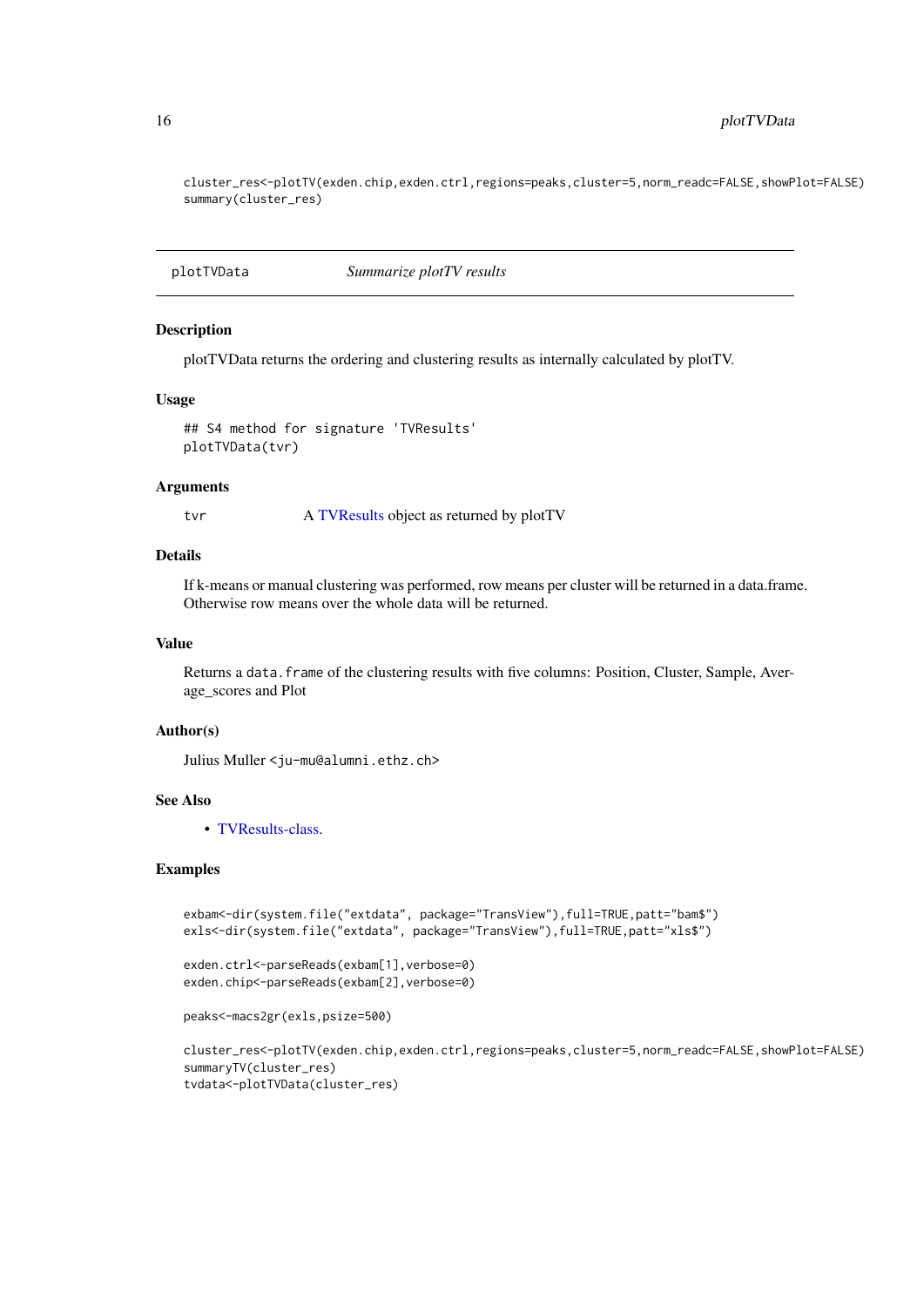cluster\_res<-plotTV(exden.chip,exden.ctrl,regions=peaks,cluster=5,norm\_readc=FALSE,showPlot=FALSE) summary(cluster\_res)

plotTVData *Summarize plotTV results*

# <span id="page-15-1"></span>Description

plotTVData returns the ordering and clustering results as internally calculated by plotTV.

#### Usage

```
## S4 method for signature 'TVResults'
plotTVData(tvr)
```
#### Arguments

tvr A [TVResults](#page-20-1) object as returned by plotTV

# Details

If k-means or manual clustering was performed, row means per cluster will be returned in a data.frame. Otherwise row means over the whole data will be returned.

#### Value

Returns a data. frame of the clustering results with five columns: Position, Cluster, Sample, Average\_scores and Plot

#### Author(s)

Julius Muller <ju-mu@alumni.ethz.ch>

#### See Also

• [TVResults-class.](#page-20-1)

#### Examples

```
exbam<-dir(system.file("extdata", package="TransView"),full=TRUE,patt="bam$")
exls<-dir(system.file("extdata", package="TransView"),full=TRUE,patt="xls$")
```

```
exden.ctrl<-parseReads(exbam[1], verbose=0)
exden.chip<-parseReads(exbam[2],verbose=0)
```

```
peaks<-macs2gr(exls,psize=500)
```

```
cluster_res<-plotTV(exden.chip,exden.ctrl,regions=peaks,cluster=5,norm_readc=FALSE,showPlot=FALSE)
summaryTV(cluster_res)
tvdata<-plotTVData(cluster_res)
```
<span id="page-15-0"></span>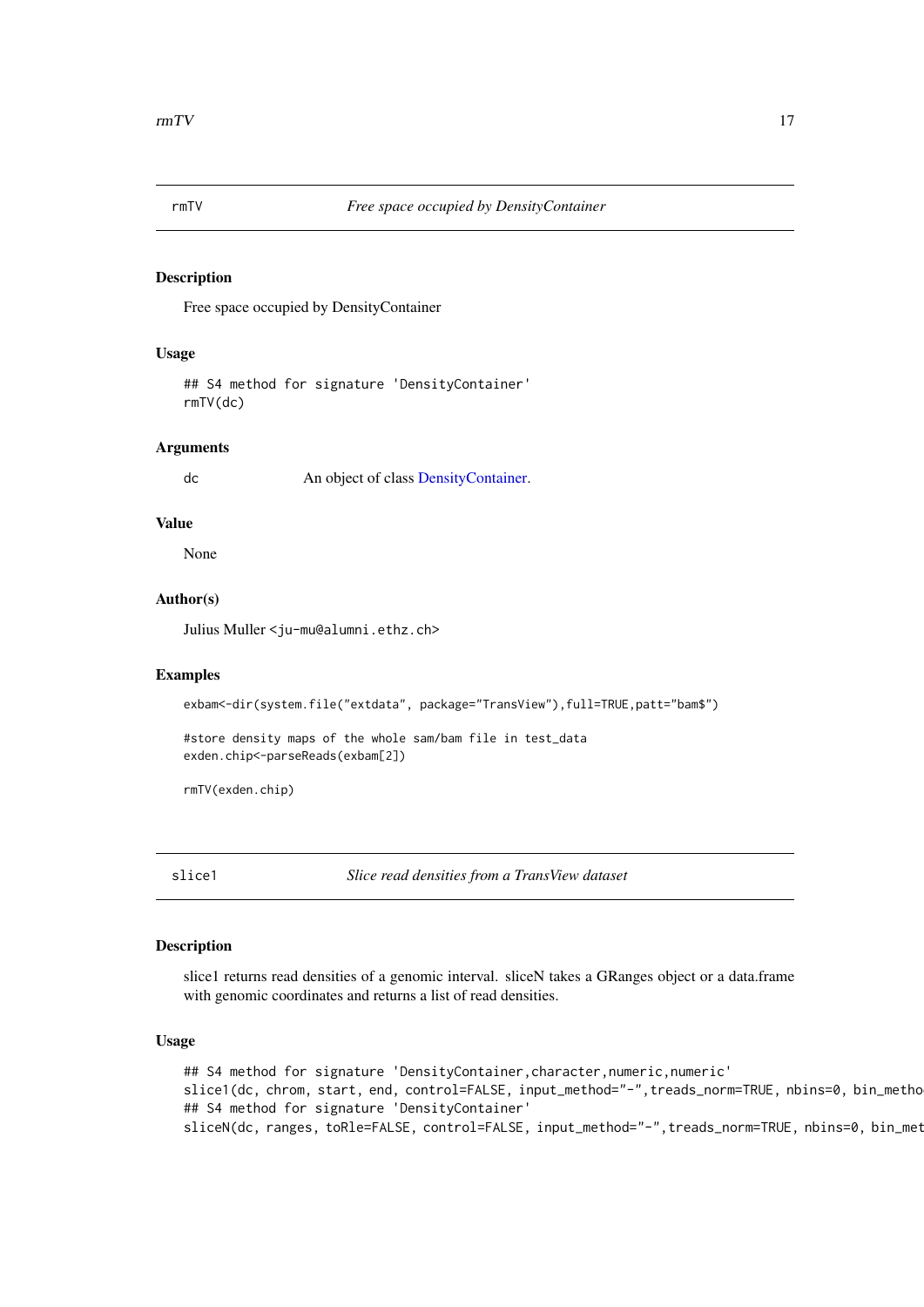<span id="page-16-0"></span>

#### <span id="page-16-2"></span>Description

Free space occupied by DensityContainer

# Usage

## S4 method for signature 'DensityContainer' rmTV(dc)

#### Arguments

dc An object of class [DensityContainer.](#page-3-1)

#### Value

None

# Author(s)

Julius Muller <ju-mu@alumni.ethz.ch>

#### Examples

exbam<-dir(system.file("extdata", package="TransView"),full=TRUE,patt="bam\$")

#store density maps of the whole sam/bam file in test\_data exden.chip<-parseReads(exbam[2])

rmTV(exden.chip)

slice1 *Slice read densities from a TransView dataset*

# <span id="page-16-1"></span>Description

slice1 returns read densities of a genomic interval. sliceN takes a GRanges object or a data.frame with genomic coordinates and returns a list of read densities.

#### Usage

## S4 method for signature 'DensityContainer, character, numeric, numeric' slice1(dc, chrom, start, end, control=FALSE, input\_method="-", treads\_norm=TRUE, nbins=0, bin\_metho ## S4 method for signature 'DensityContainer' sliceN(dc, ranges, toRle=FALSE, control=FALSE, input\_method="-", treads\_norm=TRUE, nbins=0, bin\_met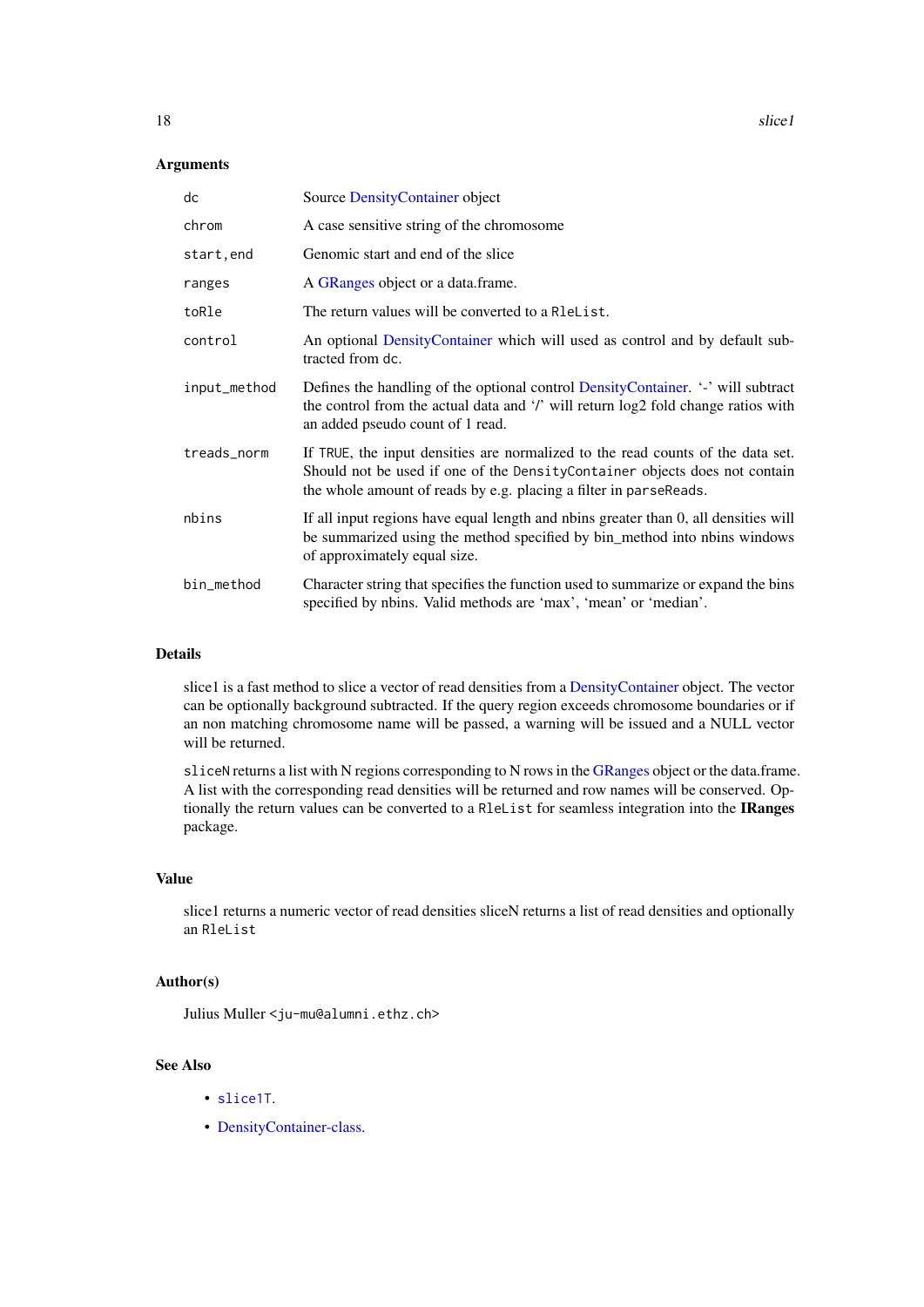# <span id="page-17-0"></span>Arguments

| dc           | Source Density Container object                                                                                                                                                                                                    |
|--------------|------------------------------------------------------------------------------------------------------------------------------------------------------------------------------------------------------------------------------------|
| chrom        | A case sensitive string of the chromosome                                                                                                                                                                                          |
| start, end   | Genomic start and end of the slice                                                                                                                                                                                                 |
| ranges       | A GRanges object or a data frame.                                                                                                                                                                                                  |
| toRle        | The return values will be converted to a R1eList.                                                                                                                                                                                  |
| control      | An optional DensityContainer which will used as control and by default sub-<br>tracted from dc.                                                                                                                                    |
| input_method | Defines the handling of the optional control DensityContainer. '-' will subtract<br>the control from the actual data and '/' will return log2 fold change ratios with<br>an added pseudo count of 1 read.                          |
| treads_norm  | If TRUE, the input densities are normalized to the read counts of the data set.<br>Should not be used if one of the DensityContainer objects does not contain<br>the whole amount of reads by e.g. placing a filter in parseReads. |
| nbins        | If all input regions have equal length and nbins greater than 0, all densities will<br>be summarized using the method specified by bin_method into nbins windows<br>of approximately equal size.                                   |
| bin_method   | Character string that specifies the function used to summarize or expand the bins<br>specified by nbins. Valid methods are 'max', 'mean' or 'median'.                                                                              |

# Details

slice1 is a fast method to slice a vector of read densities from a [DensityContainer](#page-3-1) object. The vector can be optionally background subtracted. If the query region exceeds chromosome boundaries or if an non matching chromosome name will be passed, a warning will be issued and a NULL vector will be returned.

sliceN returns a list with N regions corresponding to N rows in the [GRanges](#page-0-0) object or the data.frame. A list with the corresponding read densities will be returned and row names will be conserved. Optionally the return values can be converted to a RleList for seamless integration into the IRanges package.

# Value

slice1 returns a numeric vector of read densities sliceN returns a list of read densities and optionally an RleList

# Author(s)

Julius Muller <ju-mu@alumni.ethz.ch>

# See Also

- [slice1T](#page-18-1).
- [DensityContainer-class.](#page-3-1)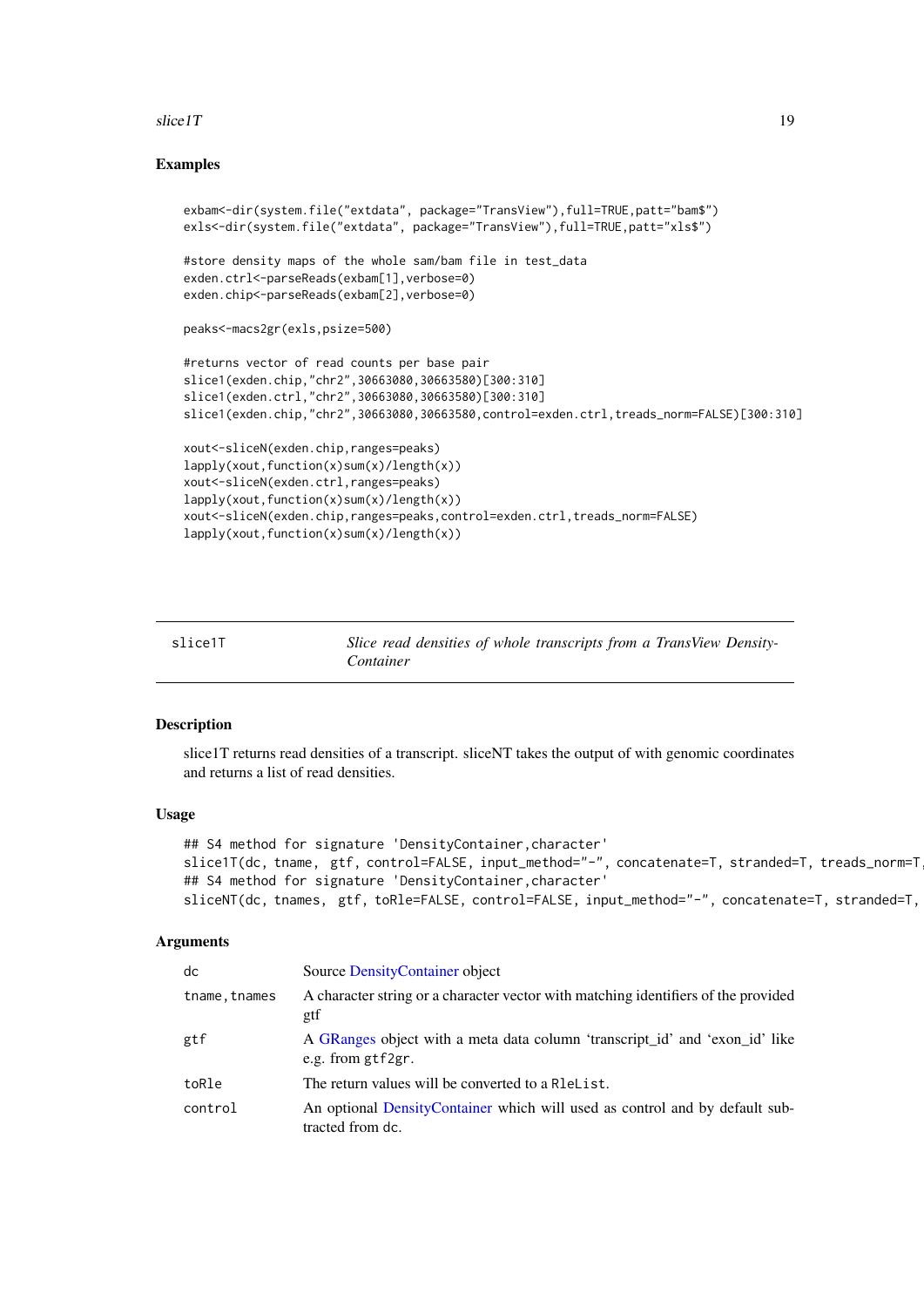#### <span id="page-18-0"></span> $\text{slice}$  17 and 19

#### Examples

```
exbam<-dir(system.file("extdata", package="TransView"),full=TRUE,patt="bam$")
exls<-dir(system.file("extdata", package="TransView"),full=TRUE,patt="xls$")
#store density maps of the whole sam/bam file in test_data
exden.ctrl<-parseReads(exbam[1], verbose=0)
exden.chip<-parseReads(exbam[2],verbose=0)
peaks<-macs2gr(exls,psize=500)
#returns vector of read counts per base pair
slice1(exden.chip,"chr2",30663080,30663580)[300:310]
slice1(exden.ctrl,"chr2",30663080,30663580)[300:310]
slice1(exden.chip,"chr2",30663080,30663580,control=exden.ctrl,treads_norm=FALSE)[300:310]
xout<-sliceN(exden.chip,ranges=peaks)
lapply(xout,function(x)sum(x)/length(x))
xout<-sliceN(exden.ctrl,ranges=peaks)
lapply(xout,function(x)sum(x)/length(x))
xout<-sliceN(exden.chip,ranges=peaks,control=exden.ctrl,treads_norm=FALSE)
lapply(xout,function(x)sum(x)/length(x))
```
<span id="page-18-1"></span>slice1T *Slice read densities of whole transcripts from a TransView Density-Container*

# Description

slice1T returns read densities of a transcript. sliceNT takes the output of with genomic coordinates and returns a list of read densities.

#### Usage

```
## S4 method for signature 'DensityContainer, character'
slice1T(dc, tname, gtf, control=FALSE, input_method="-", concatenate=T, stranded=T, treads_norm=T
## S4 method for signature 'DensityContainer, character'
sliceNT(dc, tnames, gtf, toRle=FALSE, control=FALSE, input_method="-", concatenate=T, stranded=T,
```
#### Arguments

| dc            | Source Density Container object                                                                  |
|---------------|--------------------------------------------------------------------------------------------------|
| tname, tnames | A character string or a character vector with matching identifiers of the provided<br>gtf        |
| gtf           | A GRanges object with a meta data column 'transcript_id' and 'exon_id' like<br>e.g. from gtf2gr. |
| toRle         | The return values will be converted to a Relelist.                                               |
| control       | An optional DensityContainer which will used as control and by default sub-<br>tracted from dc.  |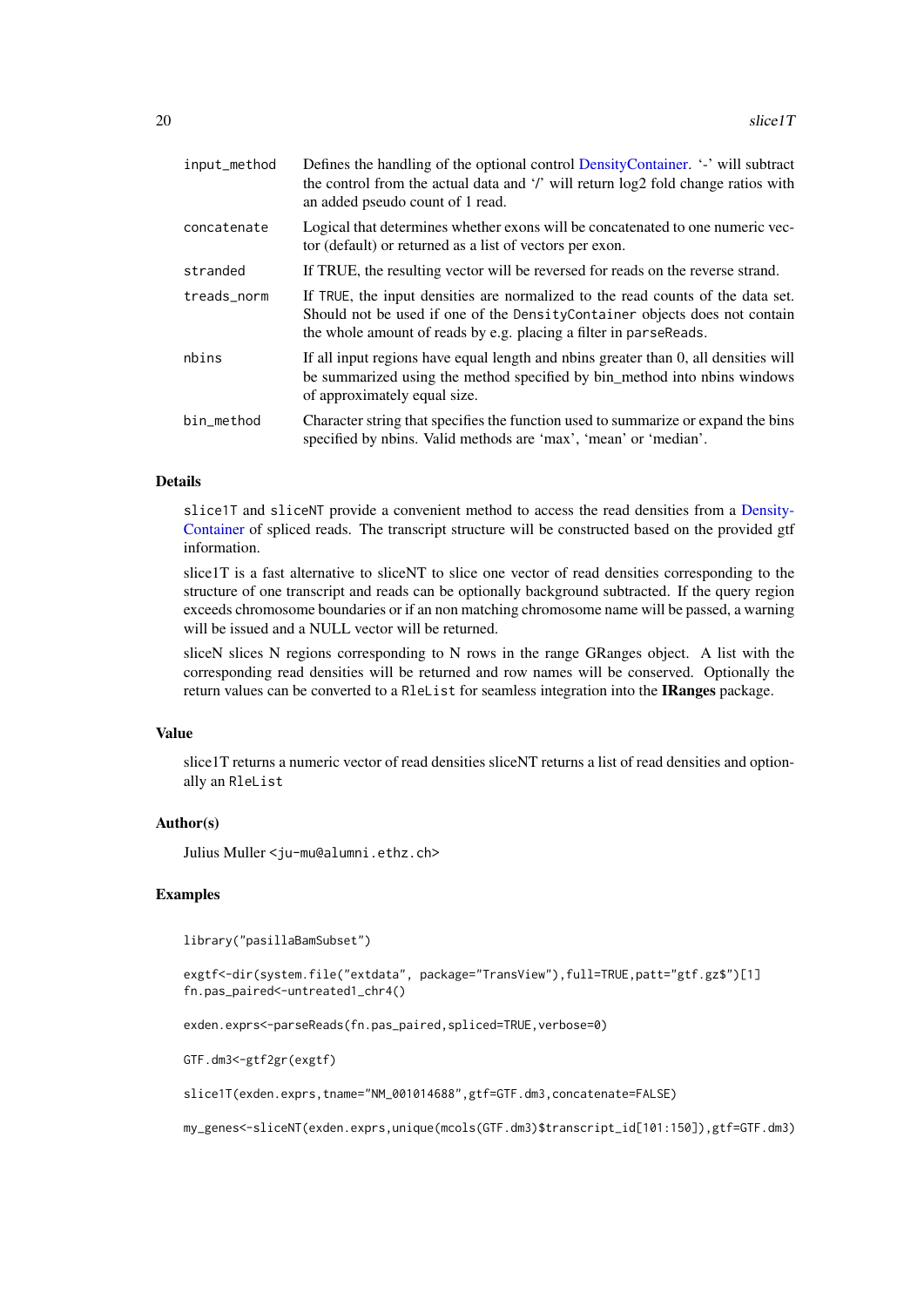<span id="page-19-0"></span>

| input_method | Defines the handling of the optional control DensityContainer. '-' will subtract<br>the control from the actual data and '/' will return log2 fold change ratios with<br>an added pseudo count of 1 read.                           |
|--------------|-------------------------------------------------------------------------------------------------------------------------------------------------------------------------------------------------------------------------------------|
| concatenate  | Logical that determines whether exons will be concatenated to one numeric vec-<br>tor (default) or returned as a list of vectors per exon.                                                                                          |
| stranded     | If TRUE, the resulting vector will be reversed for reads on the reverse strand.                                                                                                                                                     |
| treads norm  | If TRUE, the input densities are normalized to the read counts of the data set.<br>Should not be used if one of the Density Container objects does not contain<br>the whole amount of reads by e.g. placing a filter in parseReads. |
| nbins        | If all input regions have equal length and nbins greater than 0, all densities will<br>be summarized using the method specified by bin_method into nbins windows<br>of approximately equal size.                                    |
| bin_method   | Character string that specifies the function used to summarize or expand the bins<br>specified by nbins. Valid methods are 'max', 'mean' or 'median'.                                                                               |

#### Details

slice1T and sliceNT provide a convenient method to access the read densities from a [Density-](#page-3-1)[Container](#page-3-1) of spliced reads. The transcript structure will be constructed based on the provided gtf information.

slice1T is a fast alternative to sliceNT to slice one vector of read densities corresponding to the structure of one transcript and reads can be optionally background subtracted. If the query region exceeds chromosome boundaries or if an non matching chromosome name will be passed, a warning will be issued and a NULL vector will be returned.

sliceN slices N regions corresponding to N rows in the range GRanges object. A list with the corresponding read densities will be returned and row names will be conserved. Optionally the return values can be converted to a RleList for seamless integration into the IRanges package.

### Value

slice1T returns a numeric vector of read densities sliceNT returns a list of read densities and optionally an RleList

# Author(s)

Julius Muller <ju-mu@alumni.ethz.ch>

# Examples

library("pasillaBamSubset")

```
exgtf<-dir(system.file("extdata", package="TransView"),full=TRUE,patt="gtf.gz$")[1]
fn.pas_paired<-untreated1_chr4()
```
exden.exprs<-parseReads(fn.pas\_paired,spliced=TRUE,verbose=0)

GTF.dm3<-gtf2gr(exgtf)

slice1T(exden.exprs,tname="NM\_001014688",gtf=GTF.dm3,concatenate=FALSE)

my\_genes<-sliceNT(exden.exprs,unique(mcols(GTF.dm3)\$transcript\_id[101:150]),gtf=GTF.dm3)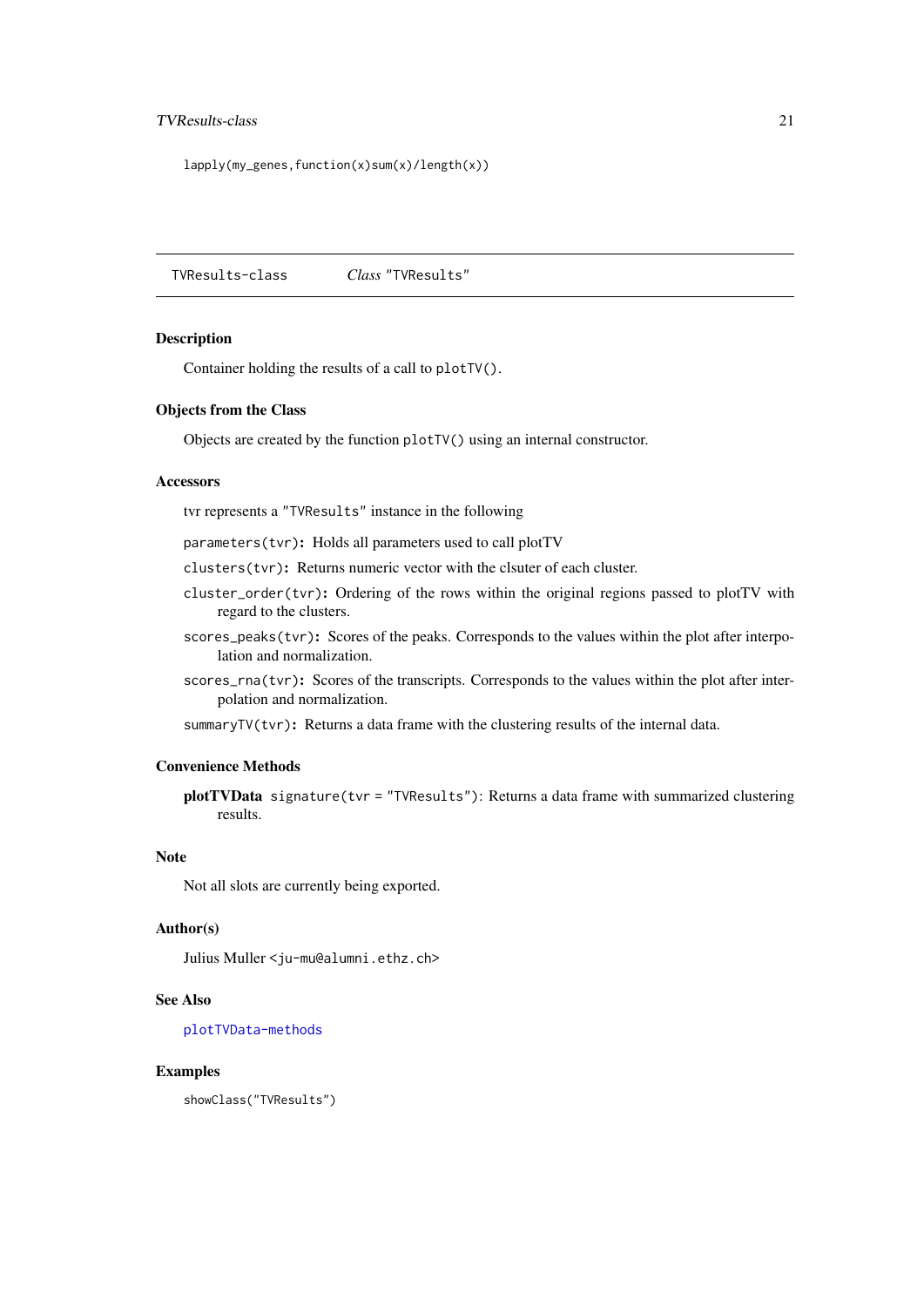#### <span id="page-20-0"></span>TVResults-class 21

```
lapply(my_genes,function(x)sum(x)/length(x))
```
<span id="page-20-1"></span>TVResults-class *Class* "TVResults"

#### Description

Container holding the results of a call to plotTV().

#### Objects from the Class

Objects are created by the function plotTV() using an internal constructor.

#### Accessors

tvr represents a "TVResults" instance in the following

parameters(tvr): Holds all parameters used to call plotTV

clusters(tvr): Returns numeric vector with the clsuter of each cluster.

- cluster\_order(tvr): Ordering of the rows within the original regions passed to plotTV with regard to the clusters.
- scores\_peaks(tvr): Scores of the peaks. Corresponds to the values within the plot after interpolation and normalization.
- scores\_rna(tvr): Scores of the transcripts. Corresponds to the values within the plot after interpolation and normalization.

summaryTV(tvr): Returns a data frame with the clustering results of the internal data.

#### Convenience Methods

plotTVData signature(tvr = "TVResults"): Returns a data frame with summarized clustering results.

#### Note

Not all slots are currently being exported.

# Author(s)

Julius Muller <ju-mu@alumni.ethz.ch>

#### See Also

[plotTVData-methods](#page-15-1)

#### Examples

showClass("TVResults")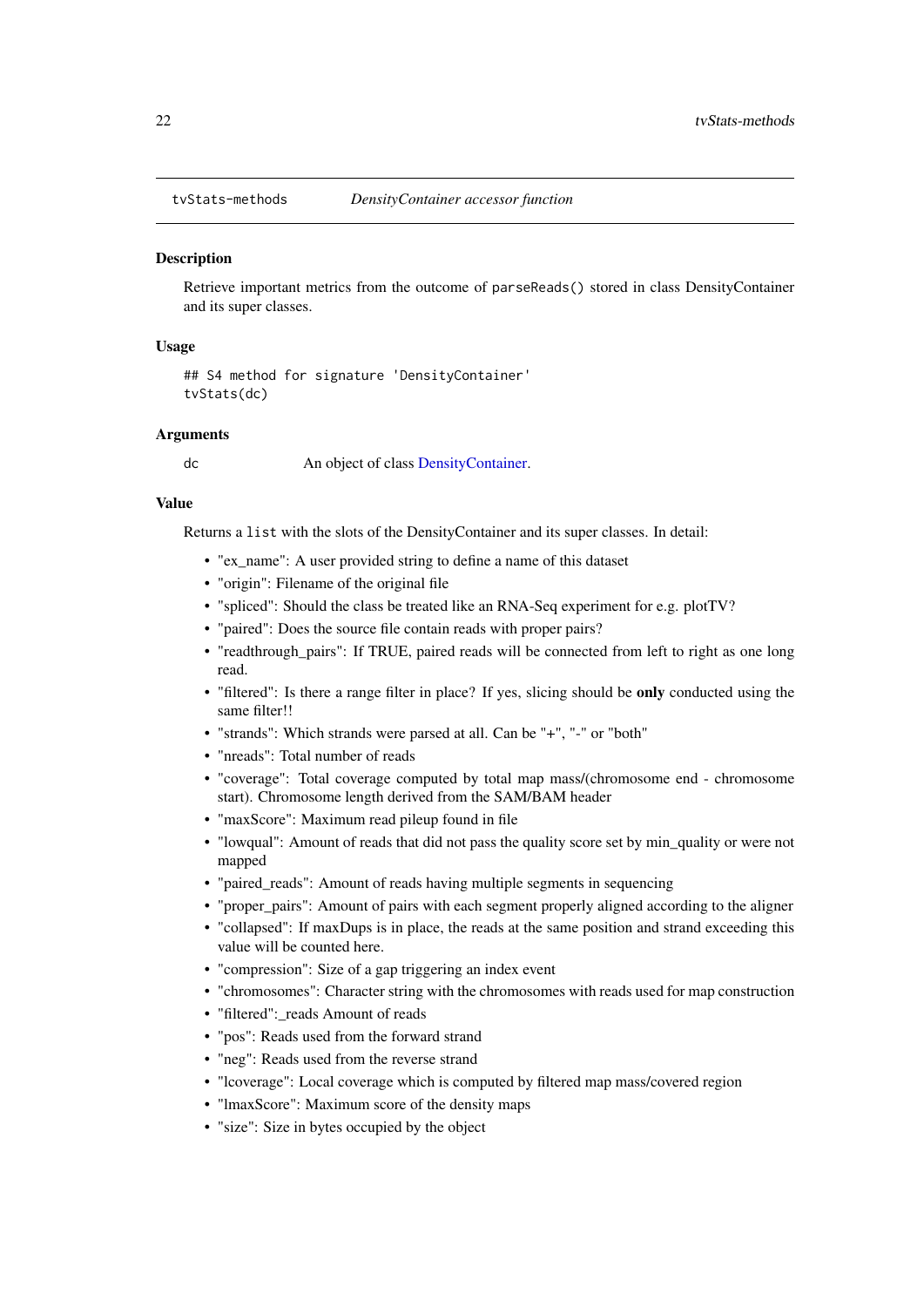<span id="page-21-1"></span><span id="page-21-0"></span>

#### Description

Retrieve important metrics from the outcome of parseReads() stored in class DensityContainer and its super classes.

#### Usage

```
## S4 method for signature 'DensityContainer'
tvStats(dc)
```
# Arguments

dc An object of class [DensityContainer.](#page-3-1)

#### Value

Returns a list with the slots of the DensityContainer and its super classes. In detail:

- "ex\_name": A user provided string to define a name of this dataset
- "origin": Filename of the original file
- "spliced": Should the class be treated like an RNA-Seq experiment for e.g. plotTV?
- "paired": Does the source file contain reads with proper pairs?
- "readthrough\_pairs": If TRUE, paired reads will be connected from left to right as one long read.
- "filtered": Is there a range filter in place? If yes, slicing should be **only** conducted using the same filter!!
- "strands": Which strands were parsed at all. Can be "+", "-" or "both"
- "nreads": Total number of reads
- "coverage": Total coverage computed by total map mass/(chromosome end chromosome start). Chromosome length derived from the SAM/BAM header
- "maxScore": Maximum read pileup found in file
- "lowqual": Amount of reads that did not pass the quality score set by min\_quality or were not mapped
- "paired\_reads": Amount of reads having multiple segments in sequencing
- "proper\_pairs": Amount of pairs with each segment properly aligned according to the aligner
- "collapsed": If maxDups is in place, the reads at the same position and strand exceeding this value will be counted here.
- "compression": Size of a gap triggering an index event
- "chromosomes": Character string with the chromosomes with reads used for map construction
- "filtered": reads Amount of reads
- "pos": Reads used from the forward strand
- "neg": Reads used from the reverse strand
- "lcoverage": Local coverage which is computed by filtered map mass/covered region
- "lmaxScore": Maximum score of the density maps
- "size": Size in bytes occupied by the object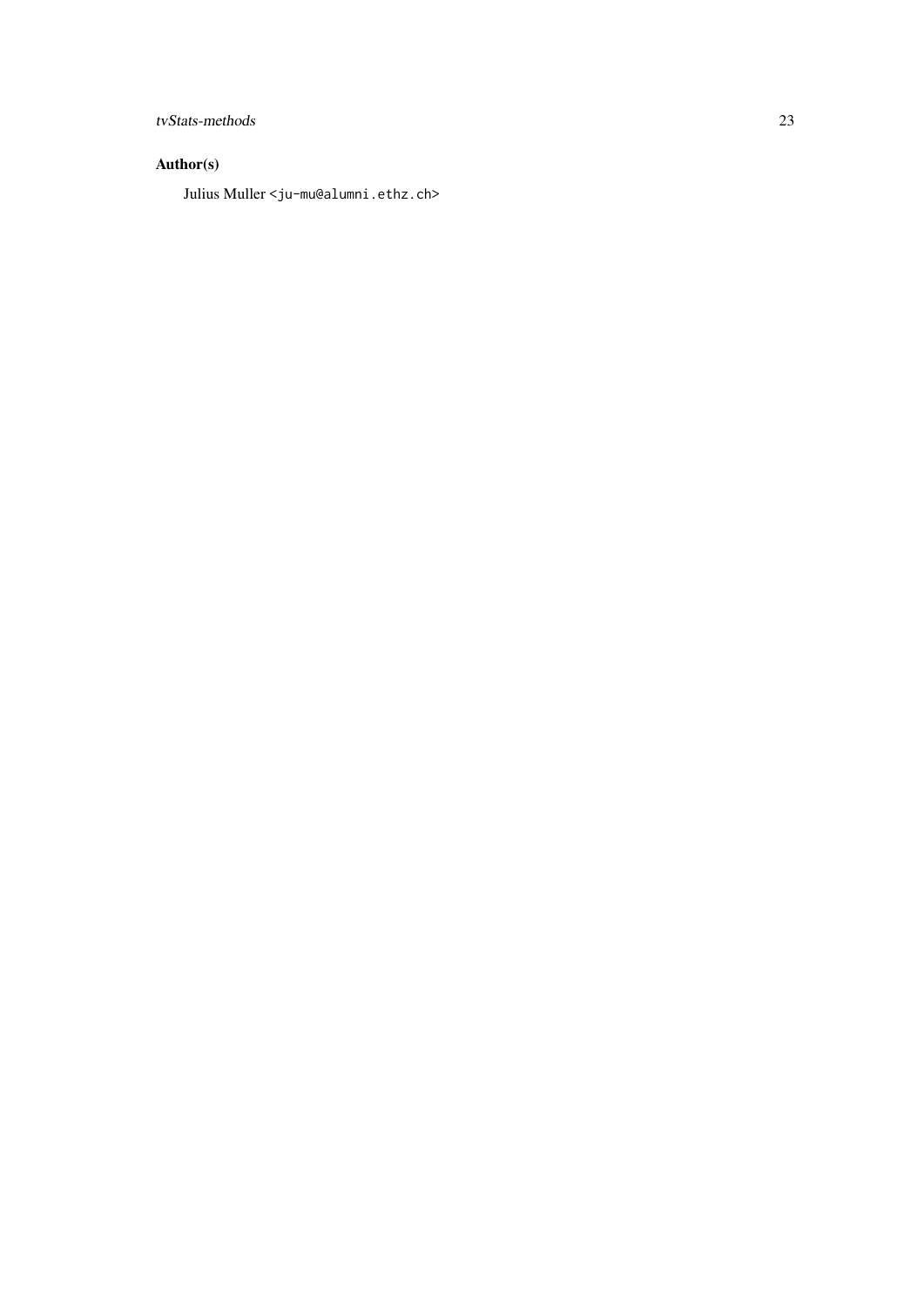# tvStats-methods 23

# Author(s)

Julius Muller <ju-mu@alumni.ethz.ch>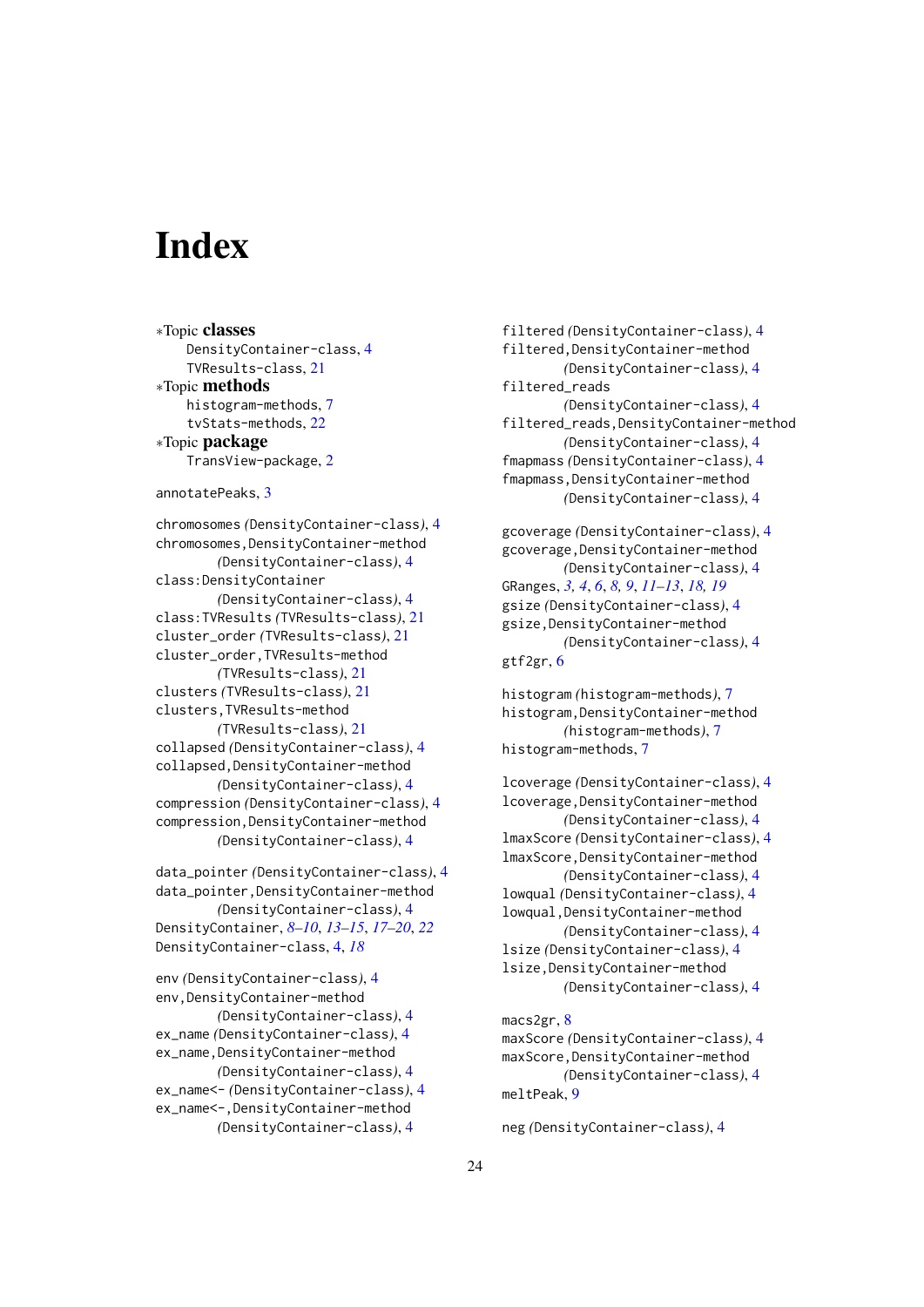# <span id="page-23-0"></span>Index

∗Topic classes DensityContainer-class, [4](#page-3-0) TVResults-class, [21](#page-20-0) ∗Topic methods histogram-methods, [7](#page-6-0) tvStats-methods, [22](#page-21-0) ∗Topic package TransView-package, [2](#page-1-0) annotatePeaks, [3](#page-2-0) chromosomes *(*DensityContainer-class*)*, [4](#page-3-0) chromosomes, DensityContainer-method *(*DensityContainer-class*)*, [4](#page-3-0) class:DensityContainer *(*DensityContainer-class*)*, [4](#page-3-0) class:TVResults *(*TVResults-class*)*, [21](#page-20-0) cluster\_order *(*TVResults-class*)*, [21](#page-20-0) cluster\_order,TVResults-method *(*TVResults-class*)*, [21](#page-20-0) clusters *(*TVResults-class*)*, [21](#page-20-0) clusters,TVResults-method *(*TVResults-class*)*, [21](#page-20-0) collapsed *(*DensityContainer-class*)*, [4](#page-3-0) collapsed,DensityContainer-method *(*DensityContainer-class*)*, [4](#page-3-0) compression *(*DensityContainer-class*)*, [4](#page-3-0) compression,DensityContainer-method *(*DensityContainer-class*)*, [4](#page-3-0) data\_pointer *(*DensityContainer-class*)*, [4](#page-3-0) data\_pointer,DensityContainer-method *(*DensityContainer-class*)*, [4](#page-3-0) DensityContainer, *[8](#page-7-0)[–10](#page-9-0)*, *[13–](#page-12-0)[15](#page-14-0)*, *[17–](#page-16-0)[20](#page-19-0)*, *[22](#page-21-0)* DensityContainer-class, [4,](#page-3-0) *[18](#page-17-0)* env *(*DensityContainer-class*)*, [4](#page-3-0)

env,DensityContainer-method *(*DensityContainer-class*)*, [4](#page-3-0) ex\_name *(*DensityContainer-class*)*, [4](#page-3-0) ex\_name,DensityContainer-method *(*DensityContainer-class*)*, [4](#page-3-0) ex\_name<- *(*DensityContainer-class*)*, [4](#page-3-0) ex\_name<-,DensityContainer-method *(*DensityContainer-class*)*, [4](#page-3-0)

filtered *(*DensityContainer-class*)*, [4](#page-3-0) filtered,DensityContainer-method *(*DensityContainer-class*)*, [4](#page-3-0) filtered\_reads *(*DensityContainer-class*)*, [4](#page-3-0) filtered\_reads,DensityContainer-method *(*DensityContainer-class*)*, [4](#page-3-0) fmapmass *(*DensityContainer-class*)*, [4](#page-3-0) fmapmass,DensityContainer-method *(*DensityContainer-class*)*, [4](#page-3-0) gcoverage *(*DensityContainer-class*)*, [4](#page-3-0) gcoverage,DensityContainer-method *(*DensityContainer-class*)*, [4](#page-3-0) GRanges, *[3,](#page-2-0) [4](#page-3-0)*, *[6](#page-5-0)*, *[8,](#page-7-0) [9](#page-8-0)*, *[11](#page-10-0)[–13](#page-12-0)*, *[18,](#page-17-0) [19](#page-18-0)*

gsize *(*DensityContainer-class*)*, [4](#page-3-0) gsize,DensityContainer-method *(*DensityContainer-class*)*, [4](#page-3-0) gtf2gr, [6](#page-5-0)

histogram *(*histogram-methods*)*, [7](#page-6-0) histogram,DensityContainer-method *(*histogram-methods*)*, [7](#page-6-0) histogram-methods, [7](#page-6-0)

```
lcoverage (DensityContainer-class), 4
lcoverage,DensityContainer-method
        (DensityContainer-class), 4
lmaxScore (DensityContainer-class), 4
lmaxScore,DensityContainer-method
        (DensityContainer-class), 4
lowqual (DensityContainer-class), 4
lowqual,DensityContainer-method
        (DensityContainer-class), 4
lsize (DensityContainer-class), 4
lsize,DensityContainer-method
        (DensityContainer-class), 4
macs2gr, 8
maxScore (DensityContainer-class), 4
maxScore,DensityContainer-method
```

```
(DensityContainer-class), 4
meltPeak, 9
```
neg *(*DensityContainer-class*)*, [4](#page-3-0)